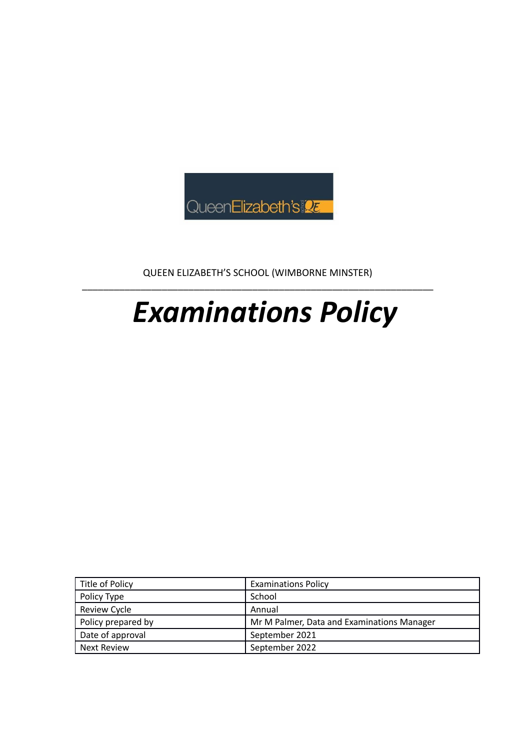

QUEEN ELIZABETH'S SCHOOL (WIMBORNE MINSTER) \_\_\_\_\_\_\_\_\_\_\_\_\_\_\_\_\_\_\_\_\_\_\_\_\_\_\_\_\_\_\_\_\_\_\_\_\_\_\_\_\_\_\_\_\_\_\_\_\_\_\_\_\_\_\_\_\_\_\_\_\_\_\_\_\_\_

# *Examinations Policy*

| Title of Policy     | <b>Examinations Policy</b>                 |
|---------------------|--------------------------------------------|
| Policy Type         | School                                     |
| <b>Review Cycle</b> | Annual                                     |
| Policy prepared by  | Mr M Palmer, Data and Examinations Manager |
| Date of approval    | September 2021                             |
| <b>Next Review</b>  | September 2022                             |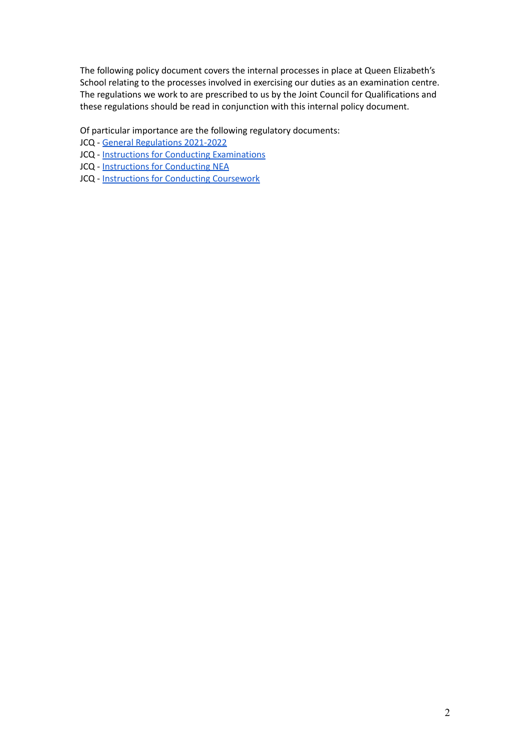The following policy document covers the internal processes in place at Queen Elizabeth's School relating to the processes involved in exercising our duties as an examination centre. The regulations we work to are prescribed to us by the Joint Council for Qualifications and these regulations should be read in conjunction with this internal policy document.

Of particular importance are the following regulatory documents:

- JCQ General [Regulations](https://www.jcq.org.uk/exams-office/general-regulations/) 2021-2022
- JCQ Instructions for Conducting [Examinations](https://www.jcq.org.uk/exams-office/ice---instructions-for-conducting-examinations/)
- JCQ [Instructions](https://www.jcq.org.uk/exams-office/non-examination-assessments/) for Conducting NEA
- JCQ Instructions for Conducting [Coursework](https://drive.google.com/file/d/18uxp9rQS5wmTLU1iL0q-A3dshQIAzWaR/view?usp=sharing)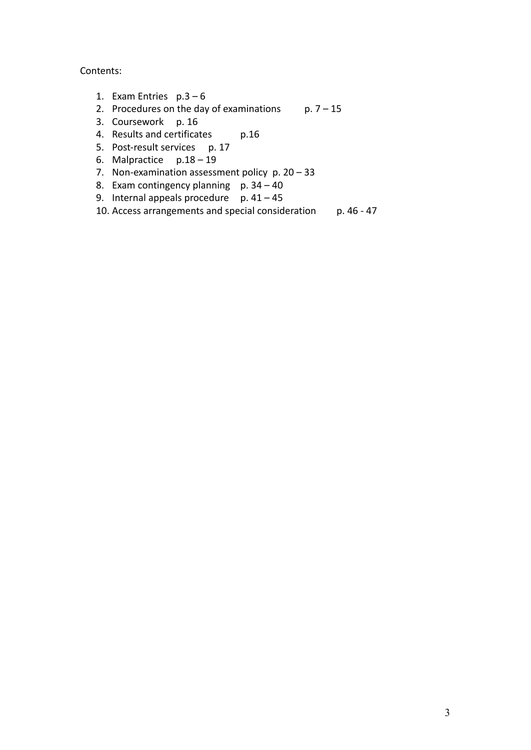Contents:

- 1. Exam Entries  $p.3-6$
- 2. Procedures on the day of examinations  $p. 7 15$
- 3. Coursework p. 16
- 4. Results and certificates p.16
- 5. Post-result services p. 17
- 6. Malpractice p.18 19
- 7. Non-examination assessment policy p. 20 33
- 8. Exam contingency planning  $p. 34 40$
- 9. Internal appeals procedure  $p. 41 45$
- 10. Access arrangements and special consideration p. 46 47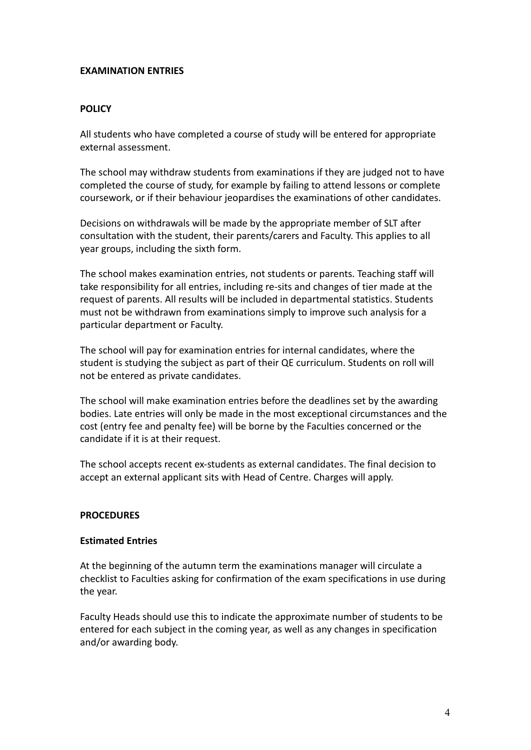#### **EXAMINATION ENTRIES**

#### **POLICY**

All students who have completed a course of study will be entered for appropriate external assessment.

The school may withdraw students from examinations if they are judged not to have completed the course of study, for example by failing to attend lessons or complete coursework, or if their behaviour jeopardises the examinations of other candidates.

Decisions on withdrawals will be made by the appropriate member of SLT after consultation with the student, their parents/carers and Faculty. This applies to all year groups, including the sixth form.

The school makes examination entries, not students or parents. Teaching staff will take responsibility for all entries, including re-sits and changes of tier made at the request of parents. All results will be included in departmental statistics. Students must not be withdrawn from examinations simply to improve such analysis for a particular department or Faculty.

The school will pay for examination entries for internal candidates, where the student is studying the subject as part of their QE curriculum. Students on roll will not be entered as private candidates.

The school will make examination entries before the deadlines set by the awarding bodies. Late entries will only be made in the most exceptional circumstances and the cost (entry fee and penalty fee) will be borne by the Faculties concerned or the candidate if it is at their request.

The school accepts recent ex-students as external candidates. The final decision to accept an external applicant sits with Head of Centre. Charges will apply.

#### **PROCEDURES**

#### **Estimated Entries**

At the beginning of the autumn term the examinations manager will circulate a checklist to Faculties asking for confirmation of the exam specifications in use during the year.

Faculty Heads should use this to indicate the approximate number of students to be entered for each subject in the coming year, as well as any changes in specification and/or awarding body.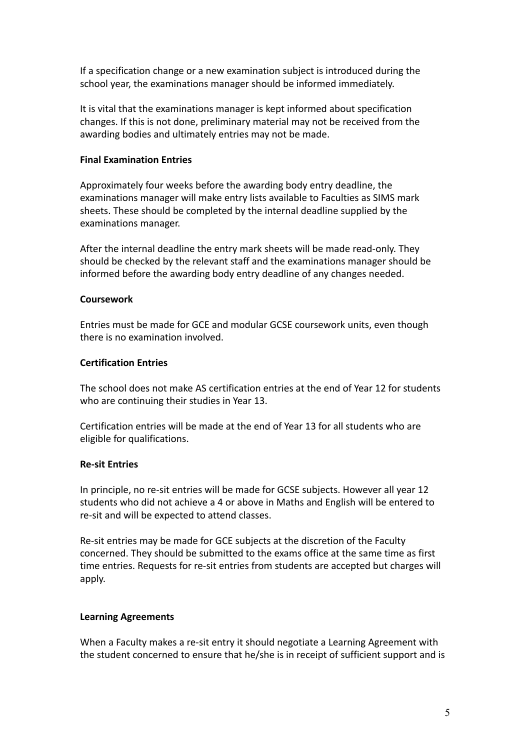If a specification change or a new examination subject is introduced during the school year, the examinations manager should be informed immediately.

It is vital that the examinations manager is kept informed about specification changes. If this is not done, preliminary material may not be received from the awarding bodies and ultimately entries may not be made.

#### **Final Examination Entries**

Approximately four weeks before the awarding body entry deadline, the examinations manager will make entry lists available to Faculties as SIMS mark sheets. These should be completed by the internal deadline supplied by the examinations manager.

After the internal deadline the entry mark sheets will be made read-only. They should be checked by the relevant staff and the examinations manager should be informed before the awarding body entry deadline of any changes needed.

#### **Coursework**

Entries must be made for GCE and modular GCSE coursework units, even though there is no examination involved.

### **Certification Entries**

The school does not make AS certification entries at the end of Year 12 for students who are continuing their studies in Year 13.

Certification entries will be made at the end of Year 13 for all students who are eligible for qualifications.

#### **Re-sit Entries**

In principle, no re-sit entries will be made for GCSE subjects. However all year 12 students who did not achieve a 4 or above in Maths and English will be entered to re-sit and will be expected to attend classes.

Re-sit entries may be made for GCE subjects at the discretion of the Faculty concerned. They should be submitted to the exams office at the same time as first time entries. Requests for re-sit entries from students are accepted but charges will apply.

#### **Learning Agreements**

When a Faculty makes a re-sit entry it should negotiate a Learning Agreement with the student concerned to ensure that he/she is in receipt of sufficient support and is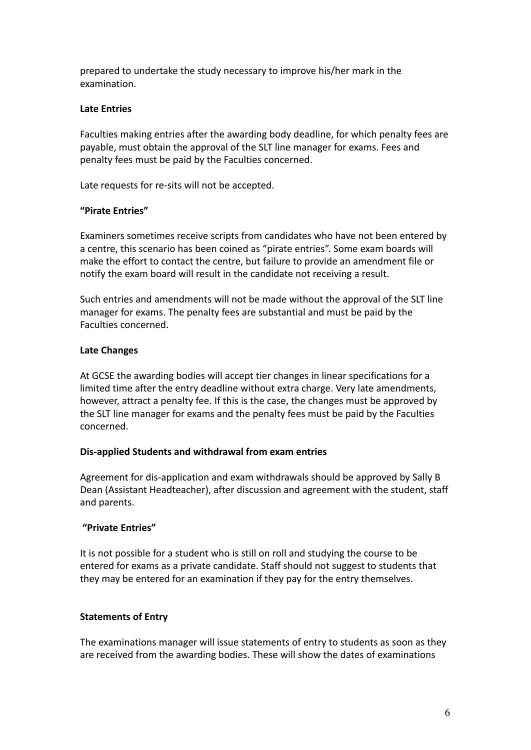prepared to undertake the study necessary to improve his/her mark in the examination.

## **Late Entries**

Faculties making entries after the awarding body deadline, for which penalty fees are payable, must obtain the approval of the SLT line manager for exams. Fees and penalty fees must be paid by the Faculties concerned.

Late requests for re-sits will not be accepted.

### **"Pirate Entries"**

Examiners sometimes receive scripts from candidates who have not been entered by a centre, this scenario has been coined as "pirate entries". Some exam boards will make the effort to contact the centre, but failure to provide an amendment file or notify the exam board will result in the candidate not receiving a result.

Such entries and amendments will not be made without the approval of the SLT line manager for exams. The penalty fees are substantial and must be paid by the Faculties concerned.

### **Late Changes**

At GCSE the awarding bodies will accept tier changes in linear specifications for a limited time after the entry deadline without extra charge. Very late amendments, however, attract a penalty fee. If this is the case, the changes must be approved by the SLT line manager for exams and the penalty fees must be paid by the Faculties concerned.

#### **Dis-applied Students and withdrawal from exam entries**

Agreement for dis-application and exam withdrawals should be approved by Sally B Dean (Assistant Headteacher), after discussion and agreement with the student, staff and parents.

## **"Private Entries"**

It is not possible for a student who is still on roll and studying the course to be entered for exams as a private candidate. Staff should not suggest to students that they may be entered for an examination if they pay for the entry themselves.

#### **Statements of Entry**

The examinations manager will issue statements of entry to students as soon as they are received from the awarding bodies. These will show the dates of examinations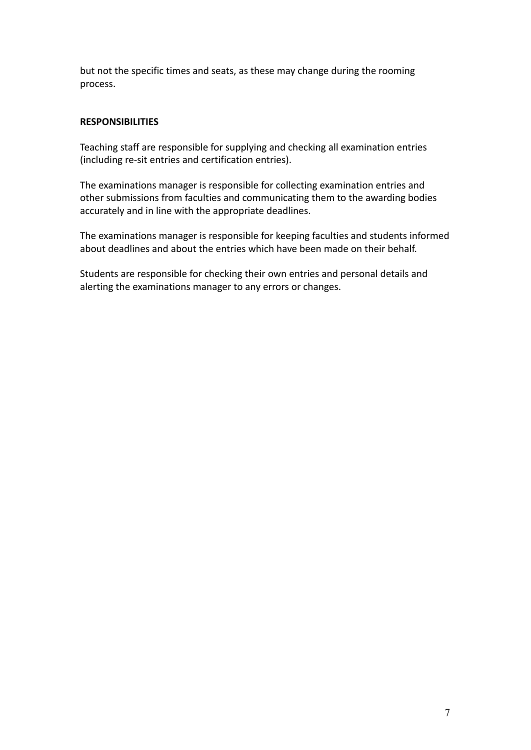but not the specific times and seats, as these may change during the rooming process.

## **RESPONSIBILITIES**

Teaching staff are responsible for supplying and checking all examination entries (including re-sit entries and certification entries).

The examinations manager is responsible for collecting examination entries and other submissions from faculties and communicating them to the awarding bodies accurately and in line with the appropriate deadlines.

The examinations manager is responsible for keeping faculties and students informed about deadlines and about the entries which have been made on their behalf.

Students are responsible for checking their own entries and personal details and alerting the examinations manager to any errors or changes.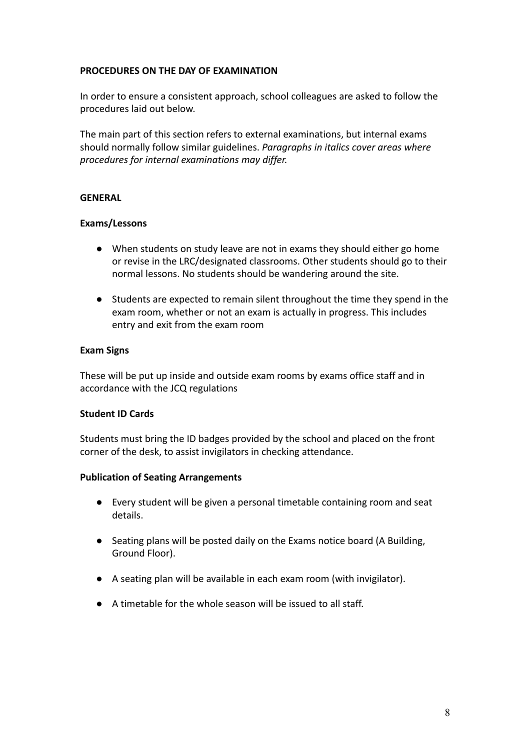### **PROCEDURES ON THE DAY OF EXAMINATION**

In order to ensure a consistent approach, school colleagues are asked to follow the procedures laid out below.

The main part of this section refers to external examinations, but internal exams should normally follow similar guidelines. *Paragraphs in italics cover areas where procedures for internal examinations may differ.*

#### **GENERAL**

#### **Exams/Lessons**

- When students on study leave are not in exams they should either go home or revise in the LRC/designated classrooms. Other students should go to their normal lessons. No students should be wandering around the site.
- Students are expected to remain silent throughout the time they spend in the exam room, whether or not an exam is actually in progress. This includes entry and exit from the exam room

#### **Exam Signs**

These will be put up inside and outside exam rooms by exams office staff and in accordance with the JCQ regulations

#### **Student ID Cards**

Students must bring the ID badges provided by the school and placed on the front corner of the desk, to assist invigilators in checking attendance.

#### **Publication of Seating Arrangements**

- Every student will be given a personal timetable containing room and seat details.
- Seating plans will be posted daily on the Exams notice board (A Building, Ground Floor).
- A seating plan will be available in each exam room (with invigilator).
- **●** A timetable for the whole season will be issued to all staff.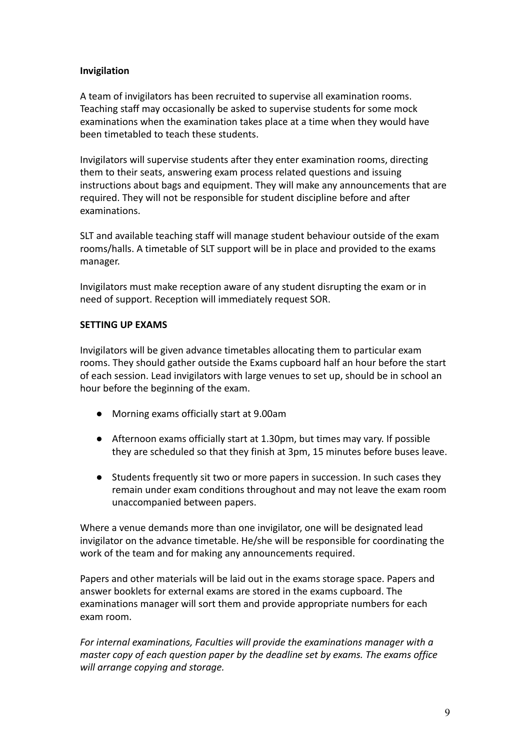### **Invigilation**

A team of invigilators has been recruited to supervise all examination rooms. Teaching staff may occasionally be asked to supervise students for some mock examinations when the examination takes place at a time when they would have been timetabled to teach these students.

Invigilators will supervise students after they enter examination rooms, directing them to their seats, answering exam process related questions and issuing instructions about bags and equipment. They will make any announcements that are required. They will not be responsible for student discipline before and after examinations.

SLT and available teaching staff will manage student behaviour outside of the exam rooms/halls. A timetable of SLT support will be in place and provided to the exams manager.

Invigilators must make reception aware of any student disrupting the exam or in need of support. Reception will immediately request SOR.

### **SETTING UP EXAMS**

Invigilators will be given advance timetables allocating them to particular exam rooms. They should gather outside the Exams cupboard half an hour before the start of each session. Lead invigilators with large venues to set up, should be in school an hour before the beginning of the exam.

- Morning exams officially start at 9.00am
- Afternoon exams officially start at 1.30pm, but times may vary. If possible they are scheduled so that they finish at 3pm, 15 minutes before buses leave.
- Students frequently sit two or more papers in succession. In such cases they remain under exam conditions throughout and may not leave the exam room unaccompanied between papers.

Where a venue demands more than one invigilator, one will be designated lead invigilator on the advance timetable. He/she will be responsible for coordinating the work of the team and for making any announcements required.

Papers and other materials will be laid out in the exams storage space. Papers and answer booklets for external exams are stored in the exams cupboard. The examinations manager will sort them and provide appropriate numbers for each exam room.

*For internal examinations, Faculties will provide the examinations manager with a master copy of each question paper by the deadline set by exams. The exams office will arrange copying and storage.*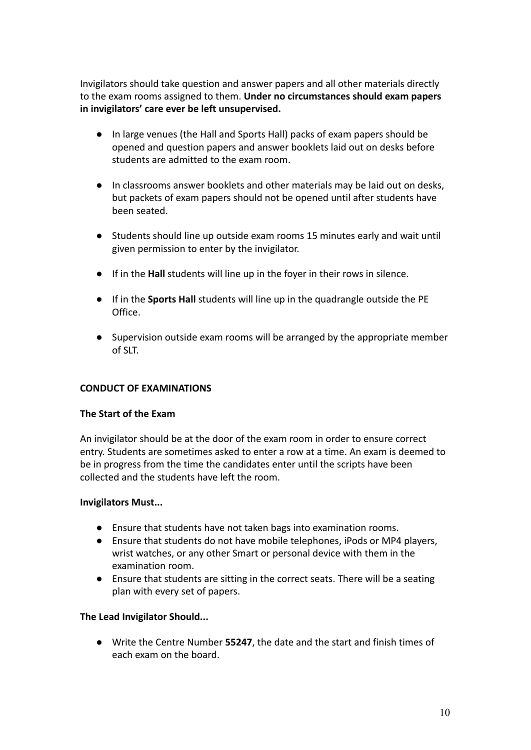Invigilators should take question and answer papers and all other materials directly to the exam rooms assigned to them. **Under no circumstances should exam papers in invigilators' care ever be left unsupervised.**

- In large venues (the Hall and Sports Hall) packs of exam papers should be opened and question papers and answer booklets laid out on desks before students are admitted to the exam room.
- In classrooms answer booklets and other materials may be laid out on desks, but packets of exam papers should not be opened until after students have been seated.
- Students should line up outside exam rooms 15 minutes early and wait until given permission to enter by the invigilator.
- If in the **Hall** students will line up in the foyer in their rows in silence.
- If in the **Sports Hall** students will line up in the quadrangle outside the PE Office.
- Supervision outside exam rooms will be arranged by the appropriate member of SLT.

## **CONDUCT OF EXAMINATIONS**

#### **The Start of the Exam**

An invigilator should be at the door of the exam room in order to ensure correct entry. Students are sometimes asked to enter a row at a time. An exam is deemed to be in progress from the time the candidates enter until the scripts have been collected and the students have left the room.

#### **Invigilators Must...**

- **●** Ensure that students have not taken bags into examination rooms.
- **●** Ensure that students do not have mobile telephones, iPods or MP4 players, wrist watches, or any other Smart or personal device with them in the examination room.
- **●** Ensure that students are sitting in the correct seats. There will be a seating plan with every set of papers.

## **The Lead Invigilator Should...**

● Write the Centre Number **55247**, the date and the start and finish times of each exam on the board.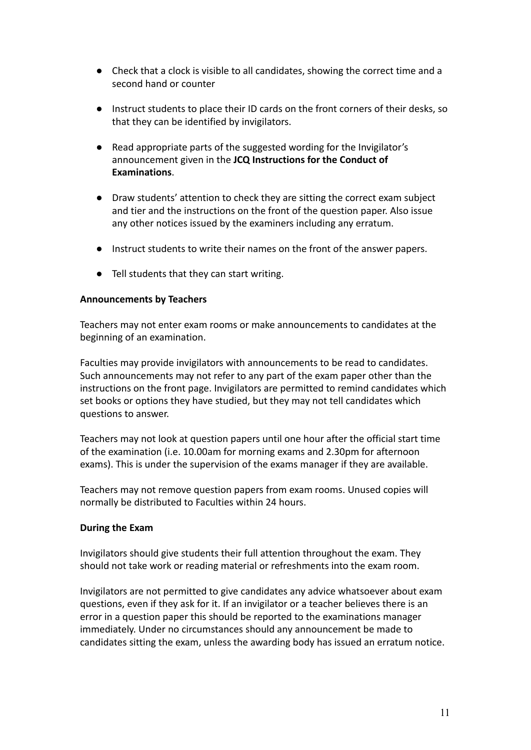- Check that a clock is visible to all candidates, showing the correct time and a second hand or counter
- Instruct students to place their ID cards on the front corners of their desks, so that they can be identified by invigilators.
- Read appropriate parts of the suggested wording for the Invigilator's announcement given in the **JCQ Instructions for the Conduct of Examinations**.
- Draw students' attention to check they are sitting the correct exam subject and tier and the instructions on the front of the question paper. Also issue any other notices issued by the examiners including any erratum.
- Instruct students to write their names on the front of the answer papers.
- Tell students that they can start writing.

#### **Announcements by Teachers**

Teachers may not enter exam rooms or make announcements to candidates at the beginning of an examination.

Faculties may provide invigilators with announcements to be read to candidates. Such announcements may not refer to any part of the exam paper other than the instructions on the front page. Invigilators are permitted to remind candidates which set books or options they have studied, but they may not tell candidates which questions to answer.

Teachers may not look at question papers until one hour after the official start time of the examination (i.e. 10.00am for morning exams and 2.30pm for afternoon exams). This is under the supervision of the exams manager if they are available.

Teachers may not remove question papers from exam rooms. Unused copies will normally be distributed to Faculties within 24 hours.

#### **During the Exam**

Invigilators should give students their full attention throughout the exam. They should not take work or reading material or refreshments into the exam room.

Invigilators are not permitted to give candidates any advice whatsoever about exam questions, even if they ask for it. If an invigilator or a teacher believes there is an error in a question paper this should be reported to the examinations manager immediately. Under no circumstances should any announcement be made to candidates sitting the exam, unless the awarding body has issued an erratum notice.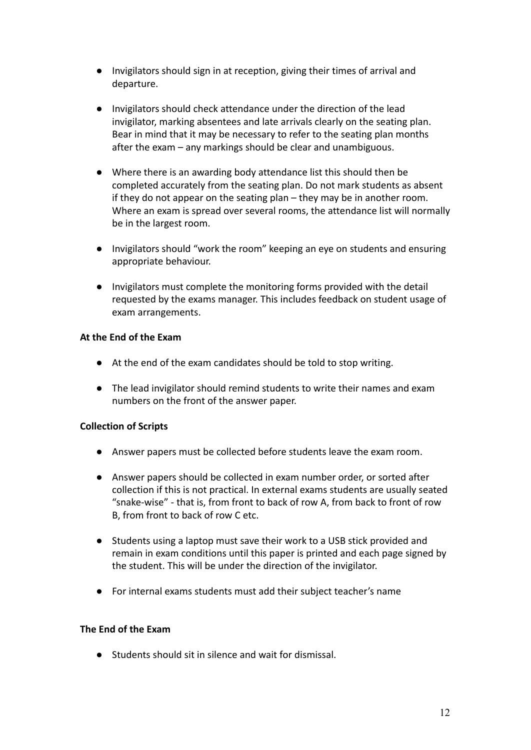- Invigilators should sign in at reception, giving their times of arrival and departure.
- Invigilators should check attendance under the direction of the lead invigilator, marking absentees and late arrivals clearly on the seating plan. Bear in mind that it may be necessary to refer to the seating plan months after the exam – any markings should be clear and unambiguous.
- Where there is an awarding body attendance list this should then be completed accurately from the seating plan. Do not mark students as absent if they do not appear on the seating plan – they may be in another room. Where an exam is spread over several rooms, the attendance list will normally be in the largest room.
- Invigilators should "work the room" keeping an eye on students and ensuring appropriate behaviour.
- Invigilators must complete the monitoring forms provided with the detail requested by the exams manager. This includes feedback on student usage of exam arrangements.

## **At the End of the Exam**

- At the end of the exam candidates should be told to stop writing.
- The lead invigilator should remind students to write their names and exam numbers on the front of the answer paper.

# **Collection of Scripts**

- Answer papers must be collected before students leave the exam room.
- **●** Answer papers should be collected in exam number order, or sorted after collection if this is not practical. In external exams students are usually seated "snake-wise" - that is, from front to back of row A, from back to front of row B, from front to back of row C etc.
- Students using a laptop must save their work to a USB stick provided and remain in exam conditions until this paper is printed and each page signed by the student. This will be under the direction of the invigilator.
- **●** For internal exams students must add their subject teacher's name

## **The End of the Exam**

● Students should sit in silence and wait for dismissal.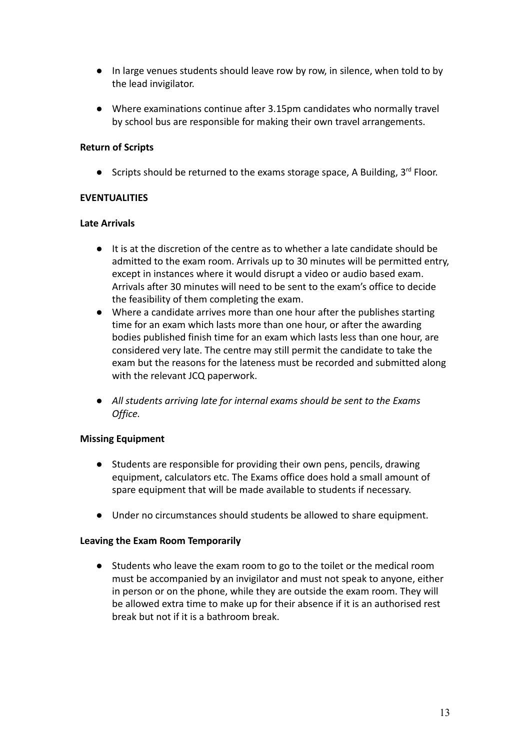- **●** In large venues students should leave row by row, in silence, when told to by the lead invigilator.
- **●** Where examinations continue after 3.15pm candidates who normally travel by school bus are responsible for making their own travel arrangements.

## **Return of Scripts**

**•** Scripts should be returned to the exams storage space, A Building,  $3^{rd}$  Floor.

### **EVENTUALITIES**

#### **Late Arrivals**

- It is at the discretion of the centre as to whether a late candidate should be admitted to the exam room. Arrivals up to 30 minutes will be permitted entry, except in instances where it would disrupt a video or audio based exam. Arrivals after 30 minutes will need to be sent to the exam's office to decide the feasibility of them completing the exam.
- Where a candidate arrives more than one hour after the publishes starting time for an exam which lasts more than one hour, or after the awarding bodies published finish time for an exam which lasts less than one hour, are considered very late. The centre may still permit the candidate to take the exam but the reasons for the lateness must be recorded and submitted along with the relevant JCQ paperwork.
- *All students arriving late for internal exams should be sent to the Exams Office.*

#### **Missing Equipment**

- Students are responsible for providing their own pens, pencils, drawing equipment, calculators etc. The Exams office does hold a small amount of spare equipment that will be made available to students if necessary.
- Under no circumstances should students be allowed to share equipment.

#### **Leaving the Exam Room Temporarily**

● Students who leave the exam room to go to the toilet or the medical room must be accompanied by an invigilator and must not speak to anyone, either in person or on the phone, while they are outside the exam room. They will be allowed extra time to make up for their absence if it is an authorised rest break but not if it is a bathroom break.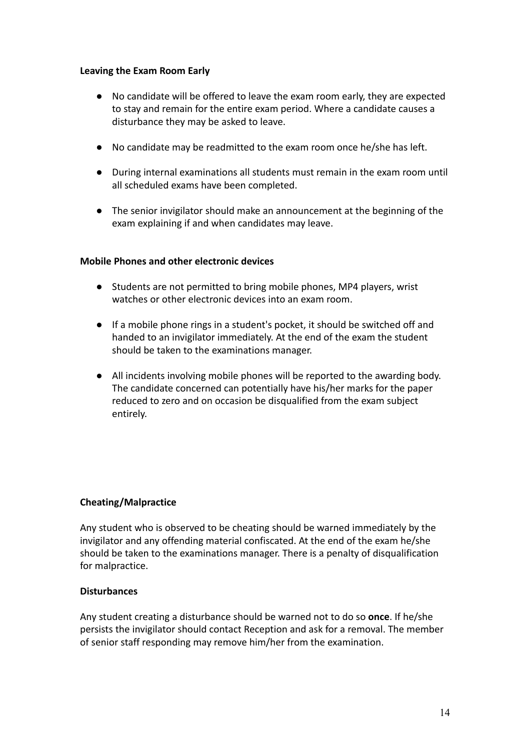#### **Leaving the Exam Room Early**

- No candidate will be offered to leave the exam room early, they are expected to stay and remain for the entire exam period. Where a candidate causes a disturbance they may be asked to leave.
- No candidate may be readmitted to the exam room once he/she has left.
- During internal examinations all students must remain in the exam room until all scheduled exams have been completed.
- The senior invigilator should make an announcement at the beginning of the exam explaining if and when candidates may leave.

### **Mobile Phones and other electronic devices**

- Students are not permitted to bring mobile phones, MP4 players, wrist watches or other electronic devices into an exam room.
- **●** If a mobile phone rings in a student's pocket, it should be switched off and handed to an invigilator immediately. At the end of the exam the student should be taken to the examinations manager.
- **●** All incidents involving mobile phones will be reported to the awarding body. The candidate concerned can potentially have his/her marks for the paper reduced to zero and on occasion be disqualified from the exam subject entirely.

#### **Cheating/Malpractice**

Any student who is observed to be cheating should be warned immediately by the invigilator and any offending material confiscated. At the end of the exam he/she should be taken to the examinations manager. There is a penalty of disqualification for malpractice.

#### **Disturbances**

Any student creating a disturbance should be warned not to do so **once**. If he/she persists the invigilator should contact Reception and ask for a removal. The member of senior staff responding may remove him/her from the examination.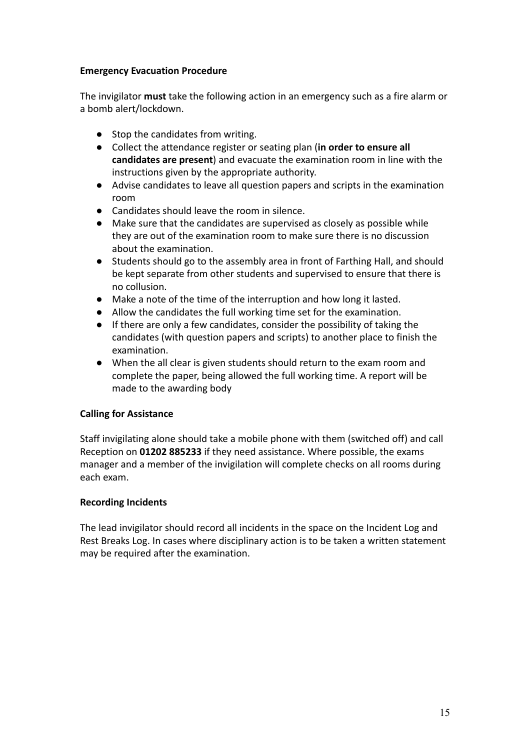## **Emergency Evacuation Procedure**

The invigilator **must** take the following action in an emergency such as a fire alarm or a bomb alert/lockdown.

- Stop the candidates from writing.
- Collect the attendance register or seating plan (**in order to ensure all candidates are present**) and evacuate the examination room in line with the instructions given by the appropriate authority.
- Advise candidates to leave all question papers and scripts in the examination room
- Candidates should leave the room in silence.
- Make sure that the candidates are supervised as closely as possible while they are out of the examination room to make sure there is no discussion about the examination.
- Students should go to the assembly area in front of Farthing Hall, and should be kept separate from other students and supervised to ensure that there is no collusion.
- Make a note of the time of the interruption and how long it lasted.
- Allow the candidates the full working time set for the examination.
- If there are only a few candidates, consider the possibility of taking the candidates (with question papers and scripts) to another place to finish the examination.
- **●** When the all clear is given students should return to the exam room and complete the paper, being allowed the full working time. A report will be made to the awarding body

## **Calling for Assistance**

Staff invigilating alone should take a mobile phone with them (switched off) and call Reception on **01202 885233** if they need assistance. Where possible, the exams manager and a member of the invigilation will complete checks on all rooms during each exam.

## **Recording Incidents**

The lead invigilator should record all incidents in the space on the Incident Log and Rest Breaks Log. In cases where disciplinary action is to be taken a written statement may be required after the examination.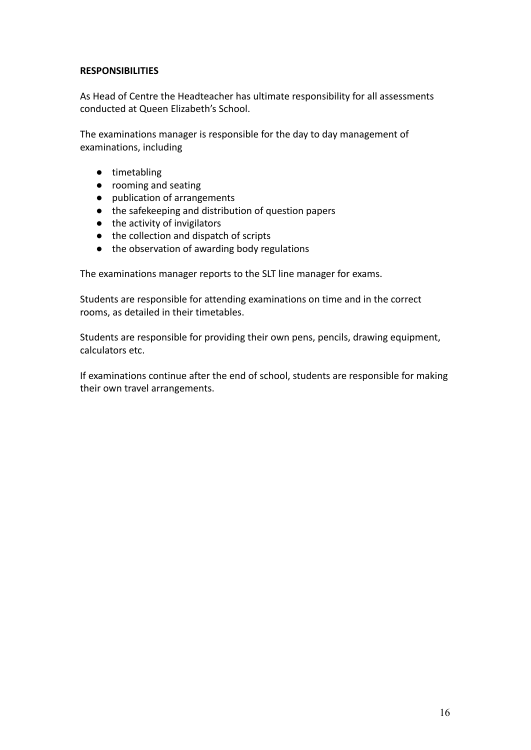#### **RESPONSIBILITIES**

As Head of Centre the Headteacher has ultimate responsibility for all assessments conducted at Queen Elizabeth's School.

The examinations manager is responsible for the day to day management of examinations, including

- timetabling
- rooming and seating
- publication of arrangements
- the safekeeping and distribution of question papers
- the activity of invigilators
- the collection and dispatch of scripts
- the observation of awarding body regulations

The examinations manager reports to the SLT line manager for exams.

Students are responsible for attending examinations on time and in the correct rooms, as detailed in their timetables.

Students are responsible for providing their own pens, pencils, drawing equipment, calculators etc.

If examinations continue after the end of school, students are responsible for making their own travel arrangements.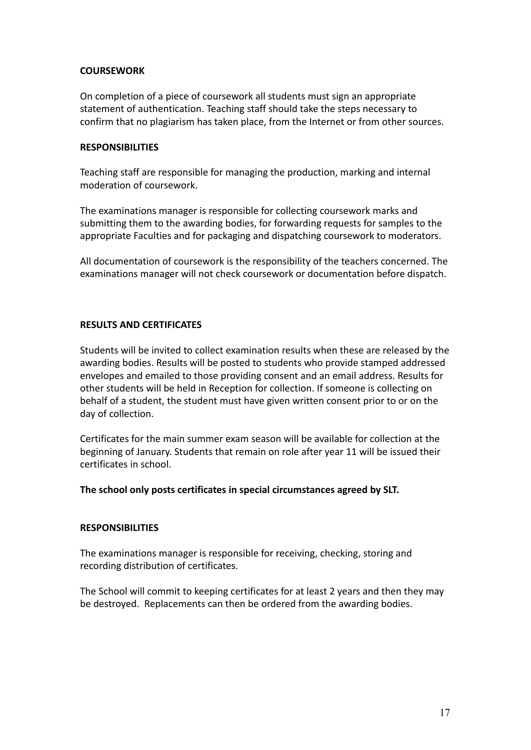### **COURSEWORK**

On completion of a piece of coursework all students must sign an appropriate statement of authentication. Teaching staff should take the steps necessary to confirm that no plagiarism has taken place, from the Internet or from other sources.

#### **RESPONSIBILITIES**

Teaching staff are responsible for managing the production, marking and internal moderation of coursework.

The examinations manager is responsible for collecting coursework marks and submitting them to the awarding bodies, for forwarding requests for samples to the appropriate Faculties and for packaging and dispatching coursework to moderators.

All documentation of coursework is the responsibility of the teachers concerned. The examinations manager will not check coursework or documentation before dispatch.

#### **RESULTS AND CERTIFICATES**

Students will be invited to collect examination results when these are released by the awarding bodies. Results will be posted to students who provide stamped addressed envelopes and emailed to those providing consent and an email address. Results for other students will be held in Reception for collection. If someone is collecting on behalf of a student, the student must have given written consent prior to or on the day of collection.

Certificates for the main summer exam season will be available for collection at the beginning of January. Students that remain on role after year 11 will be issued their certificates in school.

#### **The school only posts certificates in special circumstances agreed by SLT.**

#### **RESPONSIBILITIES**

The examinations manager is responsible for receiving, checking, storing and recording distribution of certificates.

The School will commit to keeping certificates for at least 2 years and then they may be destroyed. Replacements can then be ordered from the awarding bodies.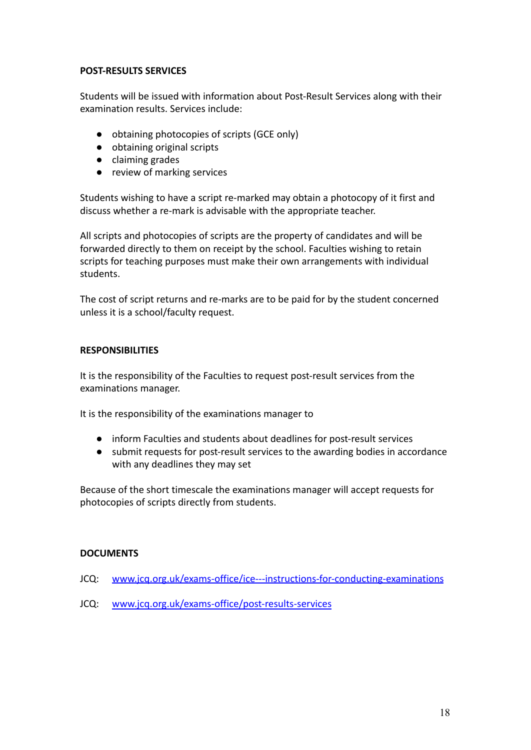#### **POST-RESULTS SERVICES**

Students will be issued with information about Post-Result Services along with their examination results. Services include:

- obtaining photocopies of scripts (GCE only)
- obtaining original scripts
- claiming grades
- review of marking services

Students wishing to have a script re-marked may obtain a photocopy of it first and discuss whether a re-mark is advisable with the appropriate teacher.

All scripts and photocopies of scripts are the property of candidates and will be forwarded directly to them on receipt by the school. Faculties wishing to retain scripts for teaching purposes must make their own arrangements with individual students.

The cost of script returns and re-marks are to be paid for by the student concerned unless it is a school/faculty request.

#### **RESPONSIBILITIES**

It is the responsibility of the Faculties to request post-result services from the examinations manager.

It is the responsibility of the examinations manager to

- inform Faculties and students about deadlines for post-result services
- submit requests for post-result services to the awarding bodies in accordance with any deadlines they may set

Because of the short timescale the examinations manager will accept requests for photocopies of scripts directly from students.

#### **DOCUMENTS**

- JCQ: [www.jcq.org.uk/exams-office/ice---instructions-for-conducting-examinations](http://www.jcq.org.uk/exams-office/ice---instructions-for-conducting-examinations)
- JCQ: [www.jcq.org.uk/exams-office/post-results-services](http://www.jcq.org.uk/exams-office/post-results-services)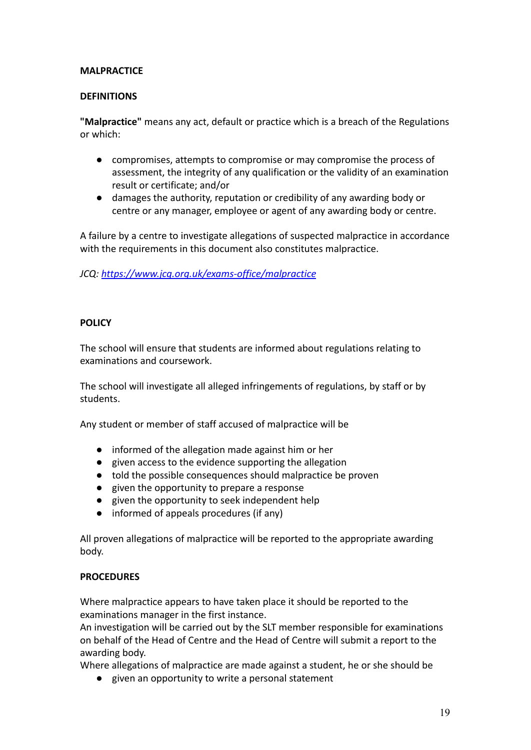### **MALPRACTICE**

#### **DEFINITIONS**

**"Malpractice"** means any act, default or practice which is a breach of the Regulations or which:

- compromises, attempts to compromise or may compromise the process of assessment, the integrity of any qualification or the validity of an examination result or certificate; and/or
- damages the authority, reputation or credibility of any awarding body or centre or any manager, employee or agent of any awarding body or centre.

A failure by a centre to investigate allegations of suspected malpractice in accordance with the requirements in this document also constitutes malpractice.

*JCQ: <https://www.jcq.org.uk/exams-office/malpractice>*

## **POLICY**

The school will ensure that students are informed about regulations relating to examinations and coursework.

The school will investigate all alleged infringements of regulations, by staff or by students.

Any student or member of staff accused of malpractice will be

- informed of the allegation made against him or her
- given access to the evidence supporting the allegation
- told the possible consequences should malpractice be proven
- given the opportunity to prepare a response
- given the opportunity to seek independent help
- informed of appeals procedures (if any)

All proven allegations of malpractice will be reported to the appropriate awarding body.

#### **PROCEDURES**

Where malpractice appears to have taken place it should be reported to the examinations manager in the first instance.

An investigation will be carried out by the SLT member responsible for examinations on behalf of the Head of Centre and the Head of Centre will submit a report to the awarding body.

Where allegations of malpractice are made against a student, he or she should be

● given an opportunity to write a personal statement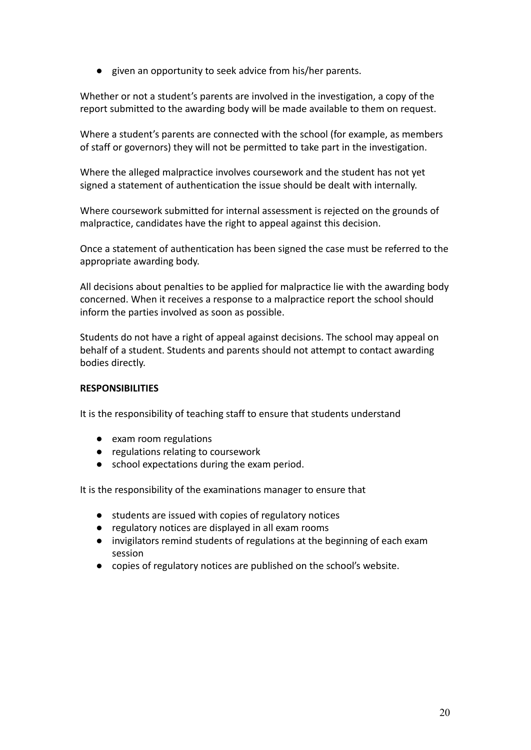● given an opportunity to seek advice from his/her parents.

Whether or not a student's parents are involved in the investigation, a copy of the report submitted to the awarding body will be made available to them on request.

Where a student's parents are connected with the school (for example, as members of staff or governors) they will not be permitted to take part in the investigation.

Where the alleged malpractice involves coursework and the student has not yet signed a statement of authentication the issue should be dealt with internally.

Where coursework submitted for internal assessment is rejected on the grounds of malpractice, candidates have the right to appeal against this decision.

Once a statement of authentication has been signed the case must be referred to the appropriate awarding body.

All decisions about penalties to be applied for malpractice lie with the awarding body concerned. When it receives a response to a malpractice report the school should inform the parties involved as soon as possible.

Students do not have a right of appeal against decisions. The school may appeal on behalf of a student. Students and parents should not attempt to contact awarding bodies directly.

#### **RESPONSIBILITIES**

It is the responsibility of teaching staff to ensure that students understand

- exam room regulations
- regulations relating to coursework
- school expectations during the exam period.

It is the responsibility of the examinations manager to ensure that

- students are issued with copies of regulatory notices
- regulatory notices are displayed in all exam rooms
- invigilators remind students of regulations at the beginning of each exam session
- copies of regulatory notices are published on the school's website.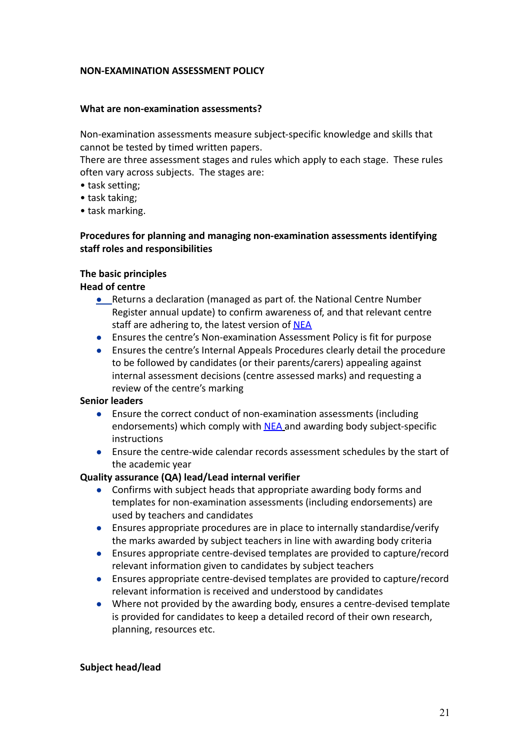#### **NON-EXAMINATION ASSESSMENT POLICY**

#### **What are non-examination assessments?**

Non-examination assessments measure subject-specific knowledge and skills that cannot be tested by timed written papers.

There are three assessment stages and rules which apply to each stage. These rules often vary across subjects. The stages are:

- task setting;
- task taking;
- task marking.

### **Procedures for planning and managing non-examination assessments identifying staff roles and responsibilities**

#### **The basic principles**

#### **Head of centre**

- Returns a declaration (managed as part of. the National Centre Number Register annual update) to confirm awareness of, and that relevant centre staff are adhering to, the latest version of [NEA](http://www.jcq.org.uk/exams-office/non-examination-assessments)
- Ensures the centre's Non-examination Assessment Policy is fit for purpose
- Ensures the centre's Internal Appeals Procedures clearly detail the procedure to be followed by candidates (or their parents/carers) appealing against internal assessment decisions (centre assessed marks) and requesting a review of the centre's marking

#### **Senior leaders**

- Ensure the correct conduct of non-examination assessments (including endorsements) which comply with [NEA](http://www.jcq.org.uk/exams-office/non-examination-assessments) and awarding body subject-specific instructions
- Ensure the centre-wide calendar records assessment schedules by the start of the academic year

#### **Quality assurance (QA) lead/Lead internal verifier**

- Confirms with subject heads that appropriate awarding body forms and templates for non-examination assessments (including endorsements) are used by teachers and candidates
- Ensures appropriate procedures are in place to internally standardise/verify the marks awarded by subject teachers in line with awarding body criteria
- Ensures appropriate centre-devised templates are provided to capture/record relevant information given to candidates by subject teachers
- Ensures appropriate centre-devised templates are provided to capture/record relevant information is received and understood by candidates
- Where not provided by the awarding body, ensures a centre-devised template is provided for candidates to keep a detailed record of their own research, planning, resources etc.

#### **Subject head/lead**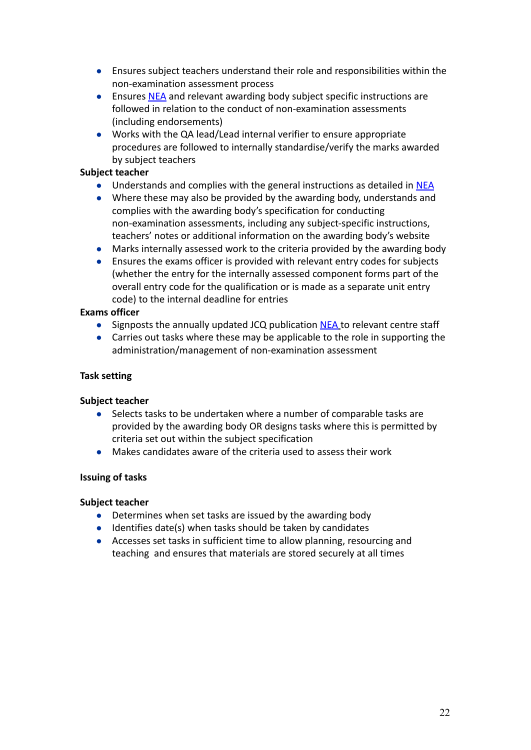- Ensures subject teachers understand their role and responsibilities within the non-examination assessment process
- Ensures [NEA](http://www.jcq.org.uk/exams-office/non-examination-assessments) and relevant awarding body subject specific instructions are followed in relation to the conduct of non-examination assessments (including endorsements)
- Works with the QA lead/Lead internal verifier to ensure appropriate procedures are followed to internally standardise/verify the marks awarded by subject teachers

#### **Subject teacher**

- Understands and complies with the general instructions as detailed in [NEA](http://www.jcq.org.uk/exams-office/non-examination-assessments)
- Where these may also be provided by the awarding body, understands and complies with the awarding body's specification for conducting non-examination assessments, including any subject-specific instructions, teachers' notes or additional information on the awarding body's website
- Marks internally assessed work to the criteria provided by the awarding body
- Ensures the exams officer is provided with relevant entry codes for subjects (whether the entry for the internally assessed component forms part of the overall entry code for the qualification or is made as a separate unit entry code) to the internal deadline for entries

### **Exams officer**

- Signposts the annually updated JCQ publication [NEA](http://www.jcq.org.uk/exams-office/non-examination-assessments) to relevant centre staff
- Carries out tasks where these may be applicable to the role in supporting the administration/management of non-examination assessment

## **Task setting**

#### **Subject teacher**

- Selects tasks to be undertaken where a number of comparable tasks are provided by the awarding body OR designs tasks where this is permitted by criteria set out within the subject specification
- Makes candidates aware of the criteria used to assess their work

#### **Issuing of tasks**

- Determines when set tasks are issued by the awarding body
- Identifies date(s) when tasks should be taken by candidates
- Accesses set tasks in sufficient time to allow planning, resourcing and teaching and ensures that materials are stored securely at all times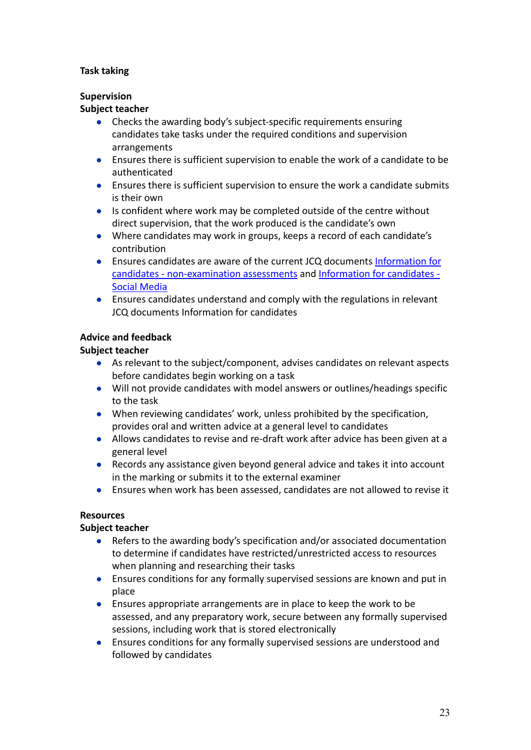## **Task taking**

## **Supervision**

### **Subject teacher**

- Checks the awarding body's subject-specific requirements ensuring candidates take tasks under the required conditions and supervision arrangements
- Ensures there is sufficient supervision to enable the work of a candidate to be authenticated
- Ensures there is sufficient supervision to ensure the work a candidate submits is their own
- Is confident where work may be completed outside of the centre without direct supervision, that the work produced is the candidate's own
- Where candidates may work in groups, keeps a record of each candidate's contribution
- Ensures candidates are aware of the current JCQ documents [Information for](http://www.jcq.org.uk/exams-office/information-for-candidates-documents) [candidates - non-examination assessments](http://www.jcq.org.uk/exams-office/information-for-candidates-documents) and Information [for candidates -](http://www.jcq.org.uk/exams-office/information-for-candidates-documents) [Social Media](http://www.jcq.org.uk/exams-office/information-for-candidates-documents)
- *●* Ensures candidates understand and comply with the regulations in relevant JCQ documents Information for candidates

## **Advice and feedback**

## **Subject teacher**

- As relevant to the subject/component, advises candidates on relevant aspects before candidates begin working on a task
- Will not provide candidates with model answers or outlines/headings specific to the task
- When reviewing candidates' work, unless prohibited by the specification, provides oral and written advice at a general level to candidates
- Allows candidates to revise and re-draft work after advice has been given at a general level
- Records any assistance given beyond general advice and takes it into account in the marking or submits it to the external examiner
- Ensures when work has been assessed, candidates are not allowed to revise it

## **Resources**

- Refers to the awarding body's specification and/or associated documentation to determine if candidates have restricted/unrestricted access to resources when planning and researching their tasks
- Ensures conditions for any formally supervised sessions are known and put in place
- Ensures appropriate arrangements are in place to keep the work to be assessed, and any preparatory work, secure between any formally supervised sessions, including work that is stored electronically
- Ensures conditions for any formally supervised sessions are understood and followed by candidates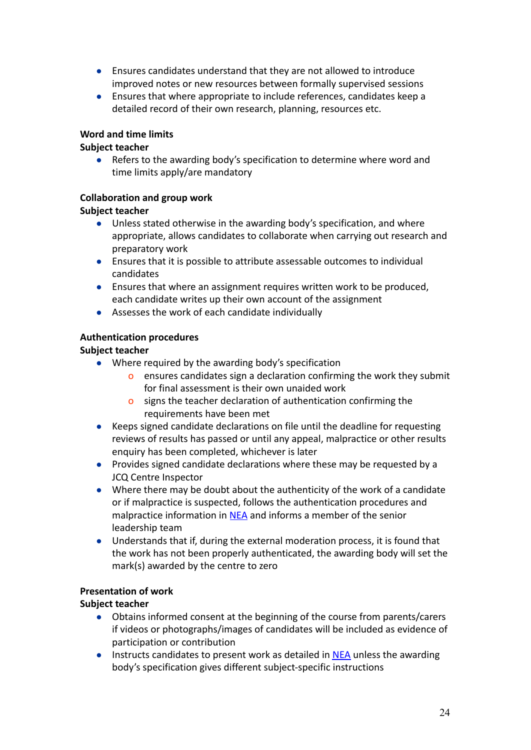- Ensures candidates understand that they are not allowed to introduce improved notes or new resources between formally supervised sessions
- Ensures that where appropriate to include references, candidates keep a detailed record of their own research, planning, resources etc.

## **Word and time limits**

### **Subject teacher**

● Refers to the awarding body's specification to determine where word and time limits apply/are mandatory

### **Collaboration and group work**

### **Subject teacher**

- Unless stated otherwise in the awarding body's specification, and where appropriate, allows candidates to collaborate when carrying out research and preparatory work
- Ensures that it is possible to attribute assessable outcomes to individual candidates
- Ensures that where an assignment requires written work to be produced, each candidate writes up their own account of the assignment
- Assesses the work of each candidate individually

### **Authentication procedures**

### **Subject teacher**

- Where required by the awarding body's specification
	- o ensures candidates sign a declaration confirming the work they submit for final assessment is their own unaided work
	- o signs the teacher declaration of authentication confirming the requirements have been met
- Keeps signed candidate declarations on file until the deadline for requesting reviews of results has passed or until any appeal, malpractice or other results enquiry has been completed, whichever is later
- Provides signed candidate declarations where these may be requested by a JCQ Centre Inspector
- Where there may be doubt about the authenticity of the work of a candidate or if malpractice is suspected, follows the authentication procedures and malpractice information in [NEA](http://www.jcq.org.uk/exams-office/non-examination-assessments) and informs a member of the senior leadership team
- Understands that if, during the external moderation process, it is found that the work has not been properly authenticated, the awarding body will set the mark(s) awarded by the centre to zero

#### **Presentation of work**

- Obtains informed consent at the beginning of the course from parents/carers if videos or photographs/images of candidates will be included as evidence of participation or contribution
- Instructs candidates to present work as detailed in [NEA](http://www.jcq.org.uk/exams-office/non-examination-assessments) unless the awarding body's specification gives different subject-specific instructions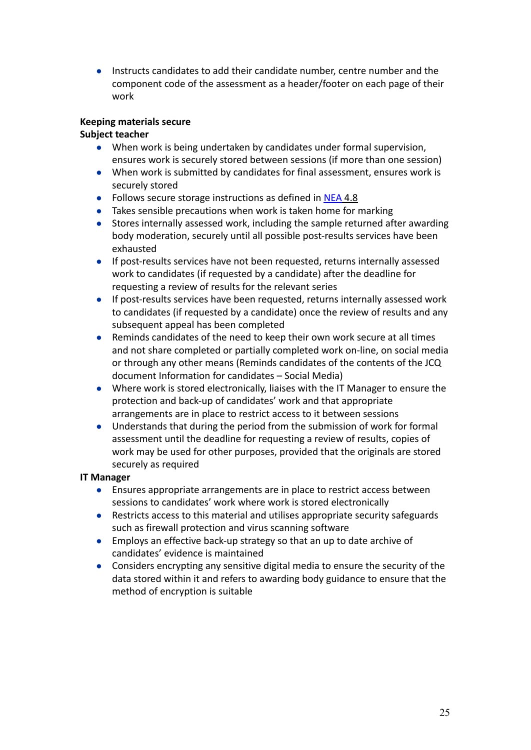● Instructs candidates to add their candidate number, centre number and the component code of the assessment as a header/footer on each page of their work

### **Keeping materials secure**

### **Subject teacher**

- When work is being undertaken by candidates under formal supervision, ensures work is securely stored between sessions (if more than one session)
- When work is submitted by candidates for final assessment, ensures work is securely stored
- *●* Follows secure storage instructions as defined in [NEA](http://www.jcq.org.uk/exams-office/non-examination-assessments) 4.8
- Takes sensible precautions when work is taken home for marking
- Stores internally assessed work, including the sample returned after awarding body moderation, securely until all possible post-results services have been exhausted
- If post-results services have not been requested, returns internally assessed work to candidates (if requested by a candidate) after the deadline for requesting a review of results for the relevant series
- If post-results services have been requested, returns internally assessed work to candidates (if requested by a candidate) once the review of results and any subsequent appeal has been completed
- Reminds candidates of the need to keep their own work secure at all times and not share completed or partially completed work on-line, on social media or through any other means (Reminds candidates of the contents of the JCQ document Information for candidates – Social Media)
- Where work is stored electronically, liaises with the IT Manager to ensure the protection and back-up of candidates' work and that appropriate arrangements are in place to restrict access to it between sessions
- Understands that during the period from the submission of work for formal assessment until the deadline for requesting a review of results, copies of work may be used for other purposes, provided that the originals are stored securely as required

#### **IT Manager**

- Ensures appropriate arrangements are in place to restrict access between sessions to candidates' work where work is stored electronically
- Restricts access to this material and utilises appropriate security safeguards such as firewall protection and virus scanning software
- Employs an effective back-up strategy so that an up to date archive of candidates' evidence is maintained
- Considers encrypting any sensitive digital media to ensure the security of the data stored within it and refers to awarding body guidance to ensure that the method of encryption is suitable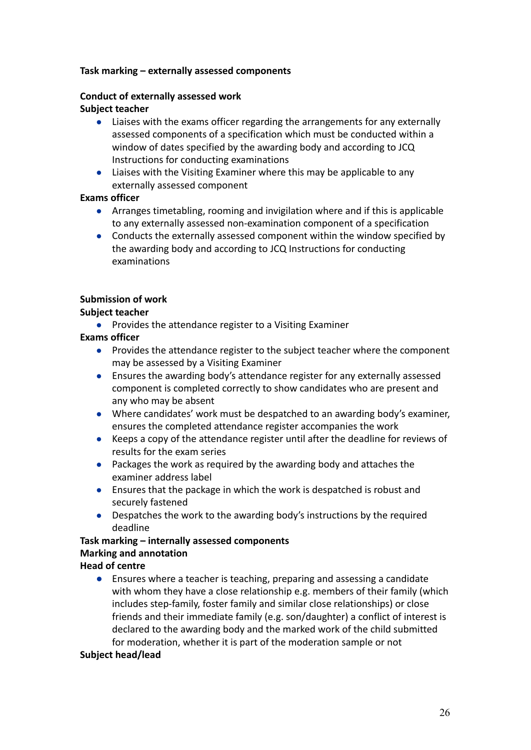#### **Task marking – externally assessed components**

## **Conduct of externally assessed work**

### **Subject teacher**

- Liaises with the exams officer regarding the arrangements for any externally assessed components of a specification which must be conducted within a window of dates specified by the awarding body and according to JCQ Instructions for conducting examinations
- **●** Liaises with the Visiting Examiner where this may be applicable to any externally assessed component

### **Exams officer**

- **●** Arranges timetabling, rooming and invigilation where and if this is applicable to any externally assessed non-examination component of a specification
- **●** Conducts the externally assessed component within the window specified by the awarding body and according to JCQ Instructions for conducting examinations

## **Submission of work**

## **Subject teacher**

● Provides the attendance register to a Visiting Examiner

## **Exams officer**

- **●** Provides the attendance register to the subject teacher where the component may be assessed by a Visiting Examiner
- **●** Ensures the awarding body's attendance register for any externally assessed component is completed correctly to show candidates who are present and any who may be absent
- **●** Where candidates' work must be despatched to an awarding body's examiner, ensures the completed attendance register accompanies the work
- **●** Keeps a copy of the attendance register until after the deadline for reviews of results for the exam series
- **●** Packages the work as required by the awarding body and attaches the examiner address label
- Ensures that the package in which the work is despatched is robust and securely fastened
- **●** Despatches the work to the awarding body's instructions by the required deadline

#### **Task marking – internally assessed components Marking and annotation Head of centre**

**●** Ensures where a teacher is teaching, preparing and assessing a candidate with whom they have a close relationship e.g. members of their family (which includes step-family, foster family and similar close relationships) or close friends and their immediate family (e.g. son/daughter) a conflict of interest is declared to the awarding body and the marked work of the child submitted for moderation, whether it is part of the moderation sample or not

#### **Subject head/lead**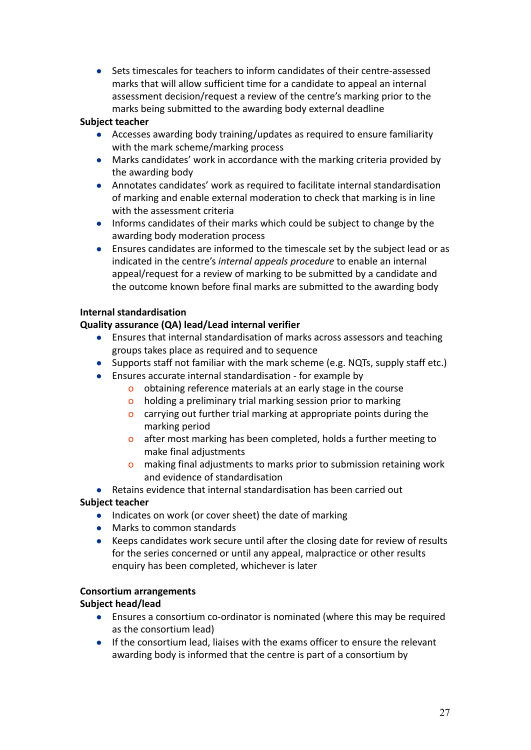● Sets timescales for teachers to inform candidates of their centre-assessed marks that will allow sufficient time for a candidate to appeal an internal assessment decision/request a review of the centre's marking prior to the marks being submitted to the awarding body external deadline

#### **Subject teacher**

- Accesses awarding body training/updates as required to ensure familiarity with the mark scheme/marking process
- Marks candidates' work in accordance with the marking criteria provided by the awarding body
- Annotates candidates' work as required to facilitate internal standardisation of marking and enable external moderation to check that marking is in line with the assessment criteria
- Informs candidates of their marks which could be subject to change by the awarding body moderation process
- Ensures candidates are informed to the timescale set by the subject lead or as indicated in the centre's *internal appeals procedure* to enable an internal appeal/request for a review of marking to be submitted by a candidate and the outcome known before final marks are submitted to the awarding body

### **Internal standardisation**

### **Quality assurance (QA) lead/Lead internal verifier**

- Ensures that internal standardisation of marks across assessors and teaching groups takes place as required and to sequence
- Supports staff not familiar with the mark scheme (e.g. NQTs, supply staff etc.)
- Ensures accurate internal standardisation for example by
	- o obtaining reference materials at an early stage in the course
	- o holding a preliminary trial marking session prior to marking
	- o carrying out further trial marking at appropriate points during the marking period
	- o after most marking has been completed, holds a further meeting to make final adjustments
	- o making final adjustments to marks prior to submission retaining work and evidence of standardisation

#### **●** Retains evidence that internal standardisation has been carried out

#### **Subject teacher**

- Indicates on work (or cover sheet) the date of marking
- Marks to common standards
- Keeps candidates work secure until after the closing date for review of results for the series concerned or until any appeal, malpractice or other results enquiry has been completed, whichever is later

#### **Consortium arrangements**

#### **Subject head/lead**

- Ensures a consortium co-ordinator is nominated (where this may be required as the consortium lead)
- If the consortium lead, liaises with the exams officer to ensure the relevant awarding body is informed that the centre is part of a consortium by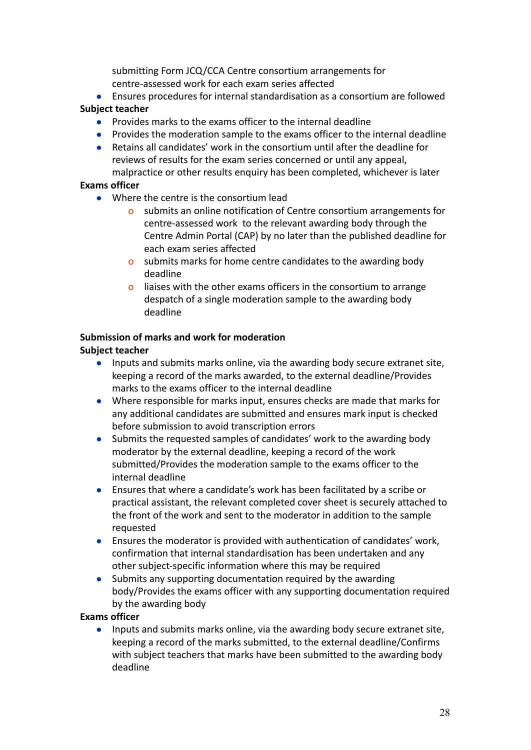submitting Form JCQ/CCA Centre consortium arrangements for centre-assessed work for each exam series affected

- Ensures procedures for internal standardisation as a consortium are followed **Subject teacher**
	- Provides marks to the exams officer to the internal deadline
	- Provides the moderation sample to the exams officer to the internal deadline
	- Retains all candidates' work in the consortium until after the deadline for reviews of results for the exam series concerned or until any appeal,

## malpractice or other results enquiry has been completed, whichever is later **Exams officer**

- Where the centre is the consortium lead
	- o submits an online notification of Centre consortium arrangements for centre-assessed work to the relevant awarding body through the Centre Admin Portal (CAP) by no later than the published deadline for each exam series affected
	- o submits marks for home centre candidates to the awarding body deadline
	- o liaises with the other exams officers in the consortium to arrange despatch of a single moderation sample to the awarding body deadline

## **Submission of marks and work for moderation**

## **Subject teacher**

- Inputs and submits marks online, via the awarding body secure extranet site, keeping a record of the marks awarded, to the external deadline/Provides marks to the exams officer to the internal deadline
- Where responsible for marks input, ensures checks are made that marks for any additional candidates are submitted and ensures mark input is checked before submission to avoid transcription errors
- Submits the requested samples of candidates' work to the awarding body moderator by the external deadline, keeping a record of the work submitted/Provides the moderation sample to the exams officer to the internal deadline
- Ensures that where a candidate's work has been facilitated by a scribe or practical assistant, the relevant completed cover sheet is securely attached to the front of the work and sent to the moderator in addition to the sample requested
- Ensures the moderator is provided with authentication of candidates' work, confirmation that internal standardisation has been undertaken and any other subject-specific information where this may be required
- Submits any supporting documentation required by the awarding body/Provides the exams officer with any supporting documentation required by the awarding body

## **Exams officer**

● Inputs and submits marks online, via the awarding body secure extranet site, keeping a record of the marks submitted, to the external deadline/Confirms with subject teachers that marks have been submitted to the awarding body deadline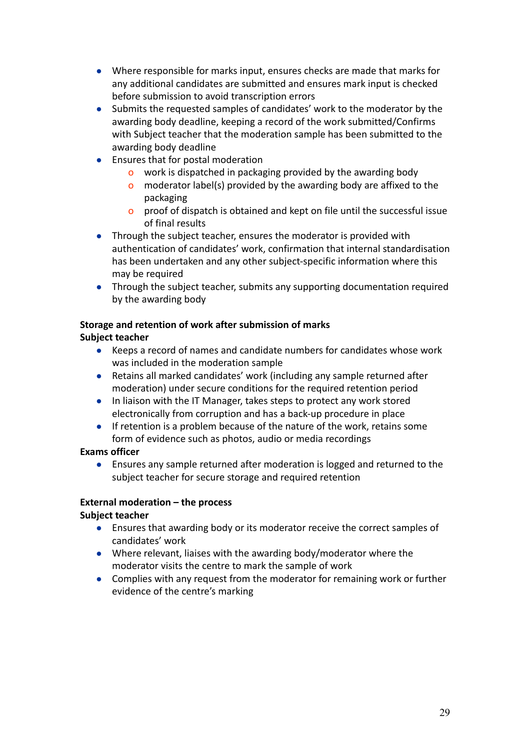- Where responsible for marks input, ensures checks are made that marks for any additional candidates are submitted and ensures mark input is checked before submission to avoid transcription errors
- Submits the requested samples of candidates' work to the moderator by the awarding body deadline, keeping a record of the work submitted/Confirms with Subject teacher that the moderation sample has been submitted to the awarding body deadline
- Ensures that for postal moderation
	- o work is dispatched in packaging provided by the awarding body
	- o moderator label(s) provided by the awarding body are affixed to the packaging
	- o proof of dispatch is obtained and kept on file until the successful issue of final results
- Through the subject teacher, ensures the moderator is provided with authentication of candidates' work, confirmation that internal standardisation has been undertaken and any other subject-specific information where this may be required
- Through the subject teacher, submits any supporting documentation required by the awarding body

## **Storage and retention of work after submission of marks Subject teacher**

- Keeps a record of names and candidate numbers for candidates whose work was included in the moderation sample
- Retains all marked candidates' work (including any sample returned after moderation) under secure conditions for the required retention period
- In liaison with the IT Manager, takes steps to protect any work stored electronically from corruption and has a back-up procedure in place
- If retention is a problem because of the nature of the work, retains some form of evidence such as photos, audio or media recordings

## **Exams officer**

● Ensures any sample returned after moderation is logged and returned to the subject teacher for secure storage and required retention

# **External moderation – the process**

- Ensures that awarding body or its moderator receive the correct samples of candidates' work
- Where relevant, liaises with the awarding body/moderator where the moderator visits the centre to mark the sample of work
- Complies with any request from the moderator for remaining work or further evidence of the centre's marking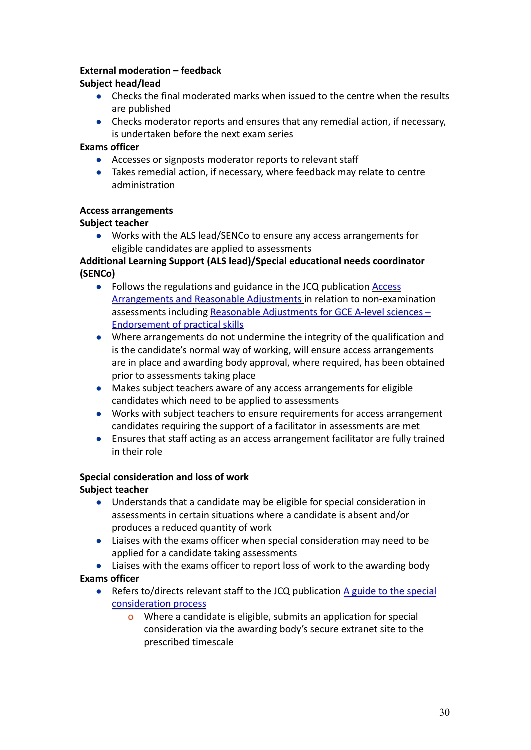## **External moderation – feedback**

### **Subject head/lead**

- Checks the final moderated marks when issued to the centre when the results are published
- Checks moderator reports and ensures that any remedial action, if necessary, is undertaken before the next exam series

#### **Exams officer**

- Accesses or signposts moderator reports to relevant staff
- Takes remedial action, if necessary, where feedback may relate to centre administration

#### **Access arrangements**

### **Subject teacher**

● Works with the ALS lead/SENCo to ensure any access arrangements for eligible candidates are applied to assessments

## **Additional Learning Support (ALS lead)/Special educational needs coordinator (SENCo)**

- **●** Follows the regulations and guidance in the JCQ publication [Access](http://www.jcq.org.uk/exams-office/access-arrangements-and-special-consideration) [Arrangements and Reasonable Adjustments](http://www.jcq.org.uk/exams-office/access-arrangements-and-special-consideration) in relation to non-examination assessments including [Reasonable Adjustments for GCE](https://www.jcq.org.uk/exams-office/access-arrangements-and-special-consideration/regulations-and-guidance) A-level sciences – [Endorsement of practical skills](https://www.jcq.org.uk/exams-office/access-arrangements-and-special-consideration/regulations-and-guidance)
- **●** Where arrangements do not undermine the integrity of the qualification and is the candidate's normal way of working, will ensure access arrangements are in place and awarding body approval, where required, has been obtained prior to assessments taking place
- **●** Makes subject teachers aware of any access arrangements for eligible candidates which need to be applied to assessments
- **●** Works with subject teachers to ensure requirements for access arrangement candidates requiring the support of a facilitator in assessments are met
- **●** Ensures that staff acting as an access arrangement facilitator are fully trained in their role

## **Special consideration and loss of work**

- Understands that a candidate may be eligible for special consideration in assessments in certain situations where a candidate is absent and/or produces a reduced quantity of work
- Liaises with the exams officer when special consideration may need to be applied for a candidate taking assessments
- Liaises with the exams officer to report loss of work to the awarding body **Exams officer**
	- $\bullet$  Refers to/directs relevant staff to the JCQ publication [A guide to the special](http://www.jcq.org.uk/exams-office/access-arrangements-and-special-consideration) [consideration process](http://www.jcq.org.uk/exams-office/access-arrangements-and-special-consideration)
		- o Where a candidate is eligible, submits an application for special consideration via the awarding body's secure extranet site to the prescribed timescale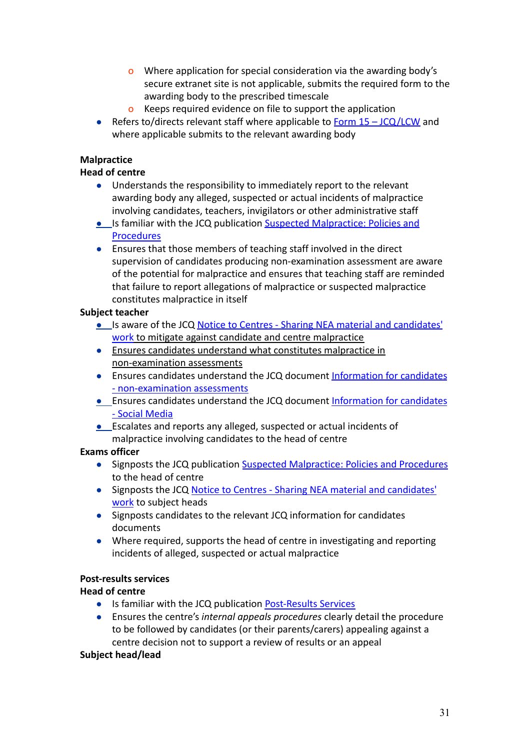- o Where application for special consideration via the awarding body's secure extranet site is not applicable, submits the required form to the awarding body to the prescribed timescale
- o Keeps required evidence on file to support the application
- Refers to/directs relevant staff where applicable to  $Form 15 JCQ/LCW$  and where applicable submits to the relevant awarding body

## **Malpractice**

## **Head of centre**

- Understands the responsibility to immediately report to the relevant awarding body any alleged, suspected or actual incidents of malpractice involving candidates, teachers, invigilators or other administrative staff
- Is familiar with the JCQ publication [Suspected Malpractice:](http://www.jcq.org.uk/exams-office/malpractice) Policies and [Procedures](http://www.jcq.org.uk/exams-office/malpractice)
- Ensures that those members of teaching staff involved in the direct supervision of candidates producing non-examination assessment are aware of the potential for malpractice and ensures that teaching staff are reminded that failure to report allegations of malpractice or suspected malpractice constitutes malpractice in itself

### **Subject teacher**

- *●* Is aware of the JCQ [Notice to Centres Sharing NEA](http://www.jcq.org.uk/exams-office/non-examination-assessments) material and candidates' [work](http://www.jcq.org.uk/exams-office/non-examination-assessments) to mitigate against candidate and centre malpractice
- *●* Ensures candidates understand what constitutes malpractice in non-examination assessments
- Ensures candidates understand the JCQ document Information [for candidates](http://www.jcq.org.uk/exams-office/information-for-candidates-documents) [- non-examination assessments](http://www.jcq.org.uk/exams-office/information-for-candidates-documents)
- **•** Ensures candidates understand the JCQ document Information [for candidates](http://www.jcq.org.uk/exams-office/information-for-candidates-documents) [- Social Media](http://www.jcq.org.uk/exams-office/information-for-candidates-documents)
- **•** Escalates and reports any alleged, suspected or actual incidents of malpractice involving candidates to the head of centre

## **Exams officer**

- *●* Signposts the JCQ publication Suspected Malpractice: [Policies and Procedures](http://www.jcq.org.uk/exams-office/malpractice) to the head of centre
- *●* Signposts the JCQ [Notice to Centres Sharing NEA](http://www.jcq.org.uk/exams-office/non-examination-assessments) material and candidates' [work](http://www.jcq.org.uk/exams-office/non-examination-assessments) to subject heads
- *●* Signposts candidates to the relevant JCQ information for candidates documents
- *●* Where required, supports the head of centre in investigating and reporting incidents of alleged, suspected or actual malpractice

## **Post-results services**

## **Head of centre**

- Is familiar with the JCQ publication [Post-Results](https://www.jcq.org.uk/exams-office/post-results-services) Services
- Ensures the centre's *internal appeals procedures* clearly detail the procedure to be followed by candidates (or their parents/carers) appealing against a centre decision not to support a review of results or an appeal

#### **Subject head/lead**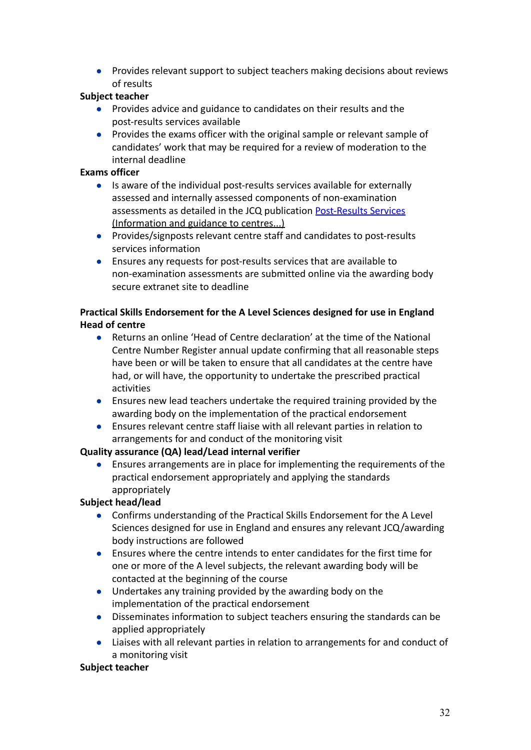● Provides relevant support to subject teachers making decisions about reviews of results

## **Subject teacher**

- Provides advice and guidance to candidates on their results and the post-results services available
- Provides the exams officer with the original sample or relevant sample of candidates' work that may be required for a review of moderation to the internal deadline

## **Exams officer**

- *●* Is aware of the individual post-results services available for externally assessed and internally assessed components of non-examination assessments as detailed in the JCQ publication [Post-Results](https://www.jcq.org.uk/exams-office/post-results-services) Services (Information and guidance to centres...)
- Provides/signposts relevant centre staff and candidates to post-results services information
- Ensures any requests for post-results services that are available to non-examination assessments are submitted online via the awarding body secure extranet site to deadline

## **Practical Skills Endorsement for the A Level Sciences designed for use in England Head of centre**

- Returns an online 'Head of Centre declaration' at the time of the National Centre Number Register annual update confirming that all reasonable steps have been or will be taken to ensure that all candidates at the centre have had, or will have, the opportunity to undertake the prescribed practical activities
- Ensures new lead teachers undertake the required training provided by the awarding body on the implementation of the practical endorsement
- Ensures relevant centre staff liaise with all relevant parties in relation to arrangements for and conduct of the monitoring visit

## **Quality assurance (QA) lead/Lead internal verifier**

● Ensures arrangements are in place for implementing the requirements of the practical endorsement appropriately and applying the standards appropriately

# **Subject head/lead**

- Confirms understanding of the Practical Skills Endorsement for the A Level Sciences designed for use in England and ensures any relevant JCQ/awarding body instructions are followed
- Ensures where the centre intends to enter candidates for the first time for one or more of the A level subjects, the relevant awarding body will be contacted at the beginning of the course
- Undertakes any training provided by the awarding body on the implementation of the practical endorsement
- Disseminates information to subject teachers ensuring the standards can be applied appropriately
- Liaises with all relevant parties in relation to arrangements for and conduct of a monitoring visit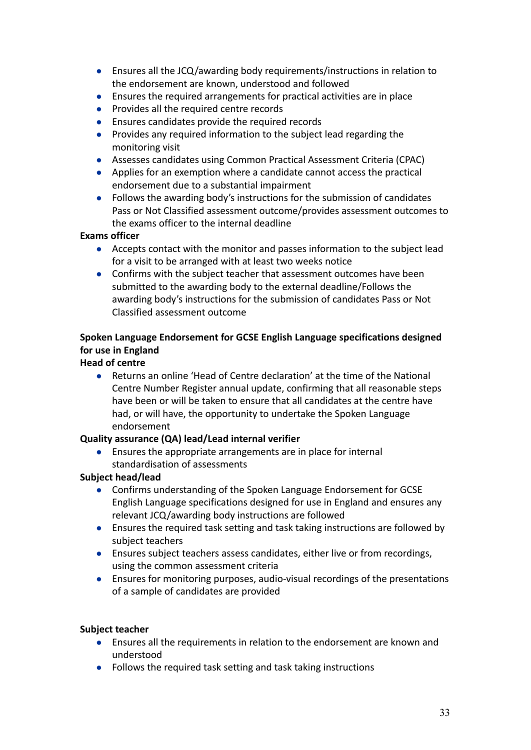- Ensures all the JCQ/awarding body requirements/instructions in relation to the endorsement are known, understood and followed
- Ensures the required arrangements for practical activities are in place
- Provides all the required centre records
- Ensures candidates provide the required records
- Provides any required information to the subject lead regarding the monitoring visit
- Assesses candidates using Common Practical Assessment Criteria (CPAC)
- Applies for an exemption where a candidate cannot access the practical endorsement due to a substantial impairment
- Follows the awarding body's instructions for the submission of candidates Pass or Not Classified assessment outcome/provides assessment outcomes to the exams officer to the internal deadline

## **Exams officer**

- Accepts contact with the monitor and passes information to the subject lead for a visit to be arranged with at least two weeks notice
- Confirms with the subject teacher that assessment outcomes have been submitted to the awarding body to the external deadline/Follows the awarding body's instructions for the submission of candidates Pass or Not Classified assessment outcome

# **Spoken Language Endorsement for GCSE English Language specifications designed for use in England**

# **Head of centre**

● Returns an online 'Head of Centre declaration' at the time of the National Centre Number Register annual update, confirming that all reasonable steps have been or will be taken to ensure that all candidates at the centre have had, or will have, the opportunity to undertake the Spoken Language endorsement

## **Quality assurance (QA) lead/Lead internal verifier**

**●** Ensures the appropriate arrangements are in place for internal standardisation of assessments

# **Subject head/lead**

- **●** Confirms understanding of the Spoken Language Endorsement for GCSE English Language specifications designed for use in England and ensures any relevant JCQ/awarding body instructions are followed
- **●** Ensures the required task setting and task taking instructions are followed by subject teachers
- **●** Ensures subject teachers assess candidates, either live or from recordings, using the common assessment criteria
- **●** Ensures for monitoring purposes, audio-visual recordings of the presentations of a sample of candidates are provided

- Ensures all the requirements in relation to the endorsement are known and understood
- Follows the required task setting and task taking instructions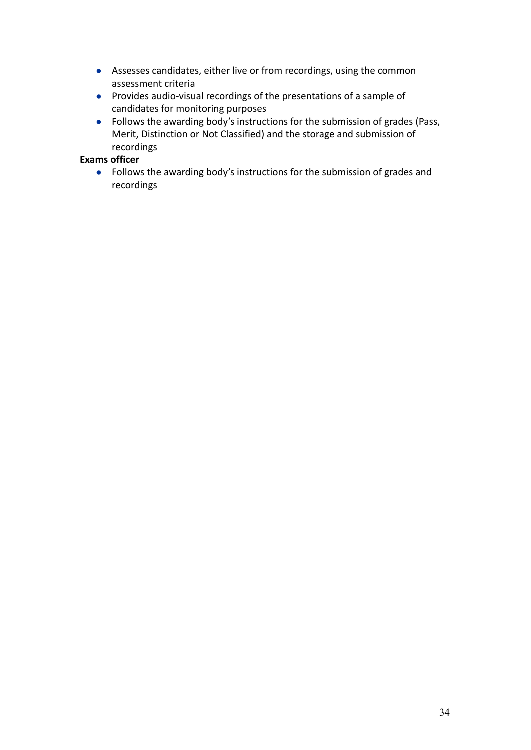- Assesses candidates, either live or from recordings, using the common assessment criteria
- Provides audio-visual recordings of the presentations of a sample of candidates for monitoring purposes
- Follows the awarding body's instructions for the submission of grades (Pass, Merit, Distinction or Not Classified) and the storage and submission of recordings

## **Exams officer**

● Follows the awarding body's instructions for the submission of grades and recordings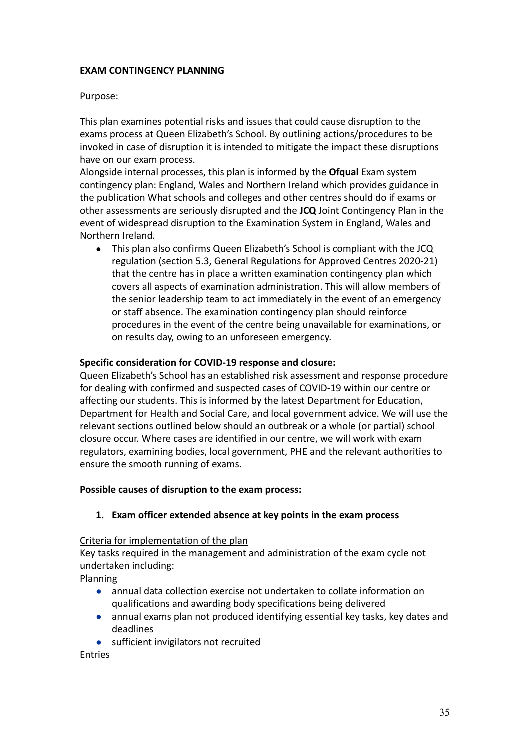## **EXAM CONTINGENCY PLANNING**

## Purpose:

This plan examines potential risks and issues that could cause disruption to the exams process at Queen Elizabeth's School. By outlining actions/procedures to be invoked in case of disruption it is intended to mitigate the impact these disruptions have on our exam process.

Alongside internal processes, this plan is informed by the **Ofqual** Exam system contingency plan: England, Wales and Northern Ireland which provides guidance in the publication What schools and colleges and other centres should do if exams or other assessments are seriously disrupted and the **JCQ** Joint Contingency Plan in the event of widespread disruption to the Examination System in England, Wales and Northern Ireland*.*

● This plan also confirms Queen Elizabeth's School is compliant with the JCQ regulation (section 5.3, General Regulations for Approved Centres 2020-21) that the centre has in place a written examination contingency plan which covers all aspects of examination administration. This will allow members of the senior leadership team to act immediately in the event of an emergency or staff absence. The examination contingency plan should reinforce procedures in the event of the centre being unavailable for examinations, or on results day, owing to an unforeseen emergency.

### **Specific consideration for COVID-19 response and closure:**

Queen Elizabeth's School has an established risk assessment and response procedure for dealing with confirmed and suspected cases of COVID-19 within our centre or affecting our students. This is informed by the latest Department for Education, Department for Health and Social Care, and local government advice. We will use the relevant sections outlined below should an outbreak or a whole (or partial) school closure occur. Where cases are identified in our centre, we will work with exam regulators, examining bodies, local government, PHE and the relevant authorities to ensure the smooth running of exams.

#### **Possible causes of disruption to the exam process:**

#### **1. Exam officer extended absence at key points in the exam process**

#### Criteria for implementation of the plan

Key tasks required in the management and administration of the exam cycle not undertaken including:

Planning

- annual data collection exercise not undertaken to collate information on qualifications and awarding body specifications being delivered
- annual exams plan not produced identifying essential key tasks, key dates and deadlines
- sufficient invigilators not recruited

Entries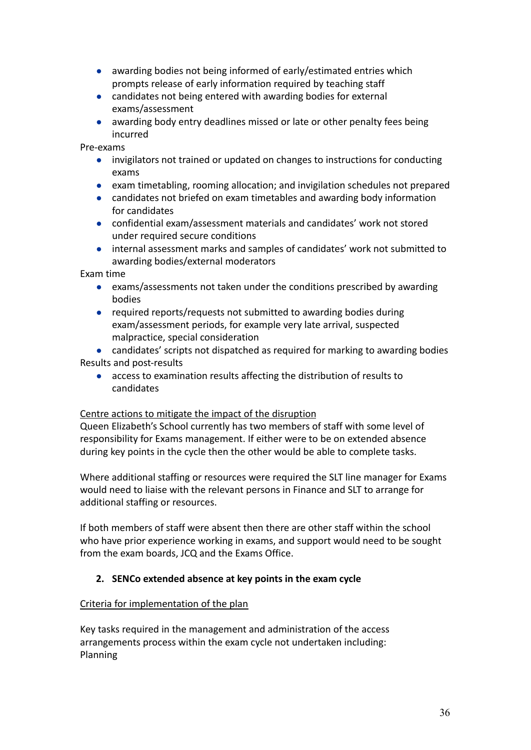- awarding bodies not being informed of early/estimated entries which prompts release of early information required by teaching staff
- candidates not being entered with awarding bodies for external exams/assessment
- awarding body entry deadlines missed or late or other penalty fees being incurred

Pre-exams

- invigilators not trained or updated on changes to instructions for conducting exams
- exam timetabling, rooming allocation; and invigilation schedules not prepared
- candidates not briefed on exam timetables and awarding body information for candidates
- confidential exam/assessment materials and candidates' work not stored under required secure conditions
- internal assessment marks and samples of candidates' work not submitted to awarding bodies/external moderators

Exam time

- exams/assessments not taken under the conditions prescribed by awarding bodies
- required reports/requests not submitted to awarding bodies during exam/assessment periods, for example very late arrival, suspected malpractice, special consideration

● candidates' scripts not dispatched as required for marking to awarding bodies Results and post-results

● access to examination results affecting the distribution of results to candidates

## Centre actions to mitigate the impact of the disruption

Queen Elizabeth's School currently has two members of staff with some level of responsibility for Exams management. If either were to be on extended absence during key points in the cycle then the other would be able to complete tasks.

Where additional staffing or resources were required the SLT line manager for Exams would need to liaise with the relevant persons in Finance and SLT to arrange for additional staffing or resources.

If both members of staff were absent then there are other staff within the school who have prior experience working in exams, and support would need to be sought from the exam boards, JCQ and the Exams Office.

# **2. SENCo extended absence at key points in the exam cycle**

## Criteria for implementation of the plan

Key tasks required in the management and administration of the access arrangements process within the exam cycle not undertaken including: Planning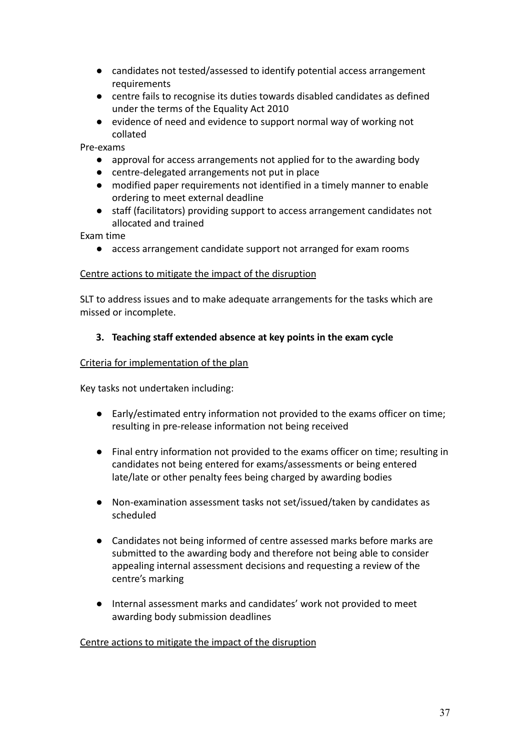- candidates not tested/assessed to identify potential access arrangement requirements
- centre fails to recognise its duties towards disabled candidates as defined under the terms of the Equality Act 2010
- evidence of need and evidence to support normal way of working not collated

Pre-exams

- approval for access arrangements not applied for to the awarding body
- centre-delegated arrangements not put in place
- modified paper requirements not identified in a timely manner to enable ordering to meet external deadline
- staff (facilitators) providing support to access arrangement candidates not allocated and trained

Exam time

● access arrangement candidate support not arranged for exam rooms

### Centre actions to mitigate the impact of the disruption

SLT to address issues and to make adequate arrangements for the tasks which are missed or incomplete.

## **3. Teaching staff extended absence at key points in the exam cycle**

### Criteria for implementation of the plan

Key tasks not undertaken including:

- Early/estimated entry information not provided to the exams officer on time; resulting in pre-release information not being received
- Final entry information not provided to the exams officer on time; resulting in candidates not being entered for exams/assessments or being entered late/late or other penalty fees being charged by awarding bodies
- Non-examination assessment tasks not set/issued/taken by candidates as scheduled
- Candidates not being informed of centre assessed marks before marks are submitted to the awarding body and therefore not being able to consider appealing internal assessment decisions and requesting a review of the centre's marking
- Internal assessment marks and candidates' work not provided to meet awarding body submission deadlines

#### Centre actions to mitigate the impact of the disruption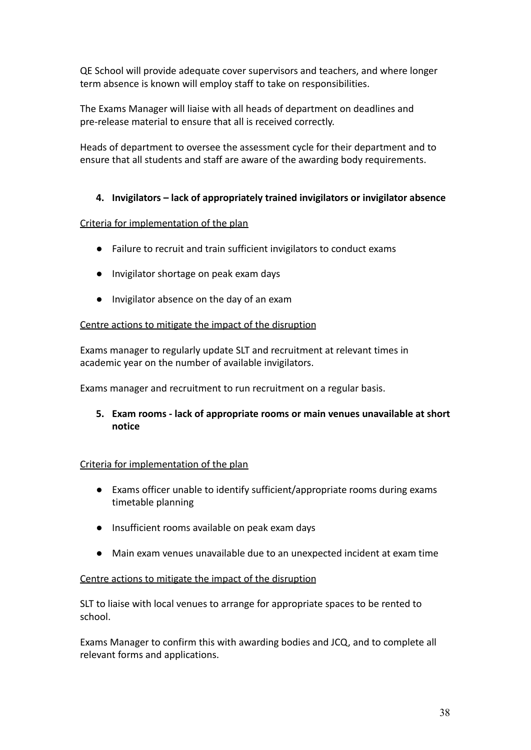QE School will provide adequate cover supervisors and teachers, and where longer term absence is known will employ staff to take on responsibilities.

The Exams Manager will liaise with all heads of department on deadlines and pre-release material to ensure that all is received correctly.

Heads of department to oversee the assessment cycle for their department and to ensure that all students and staff are aware of the awarding body requirements.

## **4. Invigilators – lack of appropriately trained invigilators or invigilator absence**

### Criteria for implementation of the plan

- Failure to recruit and train sufficient invigilators to conduct exams
- Invigilator shortage on peak exam days
- Invigilator absence on the day of an exam

## Centre actions to mitigate the impact of the disruption

Exams manager to regularly update SLT and recruitment at relevant times in academic year on the number of available invigilators.

Exams manager and recruitment to run recruitment on a regular basis.

**5. Exam rooms - lack of appropriate rooms or main venues unavailable at short notice**

#### Criteria for implementation of the plan

- Exams officer unable to identify sufficient/appropriate rooms during exams timetable planning
- Insufficient rooms available on peak exam days
- Main exam venues unavailable due to an unexpected incident at exam time

#### Centre actions to mitigate the impact of the disruption

SLT to liaise with local venues to arrange for appropriate spaces to be rented to school.

Exams Manager to confirm this with awarding bodies and JCQ, and to complete all relevant forms and applications.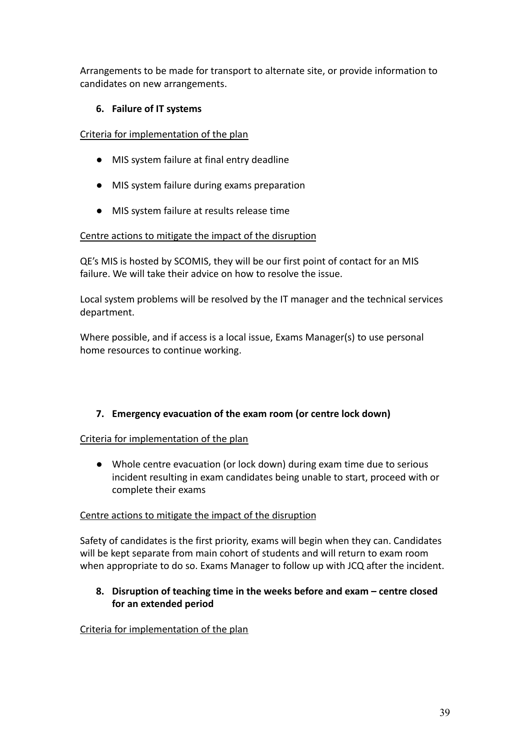Arrangements to be made for transport to alternate site, or provide information to candidates on new arrangements.

## **6. Failure of IT systems**

Criteria for implementation of the plan

- MIS system failure at final entry deadline
- MIS system failure during exams preparation
- MIS system failure at results release time

## Centre actions to mitigate the impact of the disruption

QE's MIS is hosted by SCOMIS, they will be our first point of contact for an MIS failure. We will take their advice on how to resolve the issue.

Local system problems will be resolved by the IT manager and the technical services department.

Where possible, and if access is a local issue, Exams Manager(s) to use personal home resources to continue working.

# **7. Emergency evacuation of the exam room (or centre lock down)**

## Criteria for implementation of the plan

● Whole centre evacuation (or lock down) during exam time due to serious incident resulting in exam candidates being unable to start, proceed with or complete their exams

## Centre actions to mitigate the impact of the disruption

Safety of candidates is the first priority, exams will begin when they can. Candidates will be kept separate from main cohort of students and will return to exam room when appropriate to do so. Exams Manager to follow up with JCQ after the incident.

## **8. Disruption of teaching time in the weeks before and exam – centre closed for an extended period**

# Criteria for implementation of the plan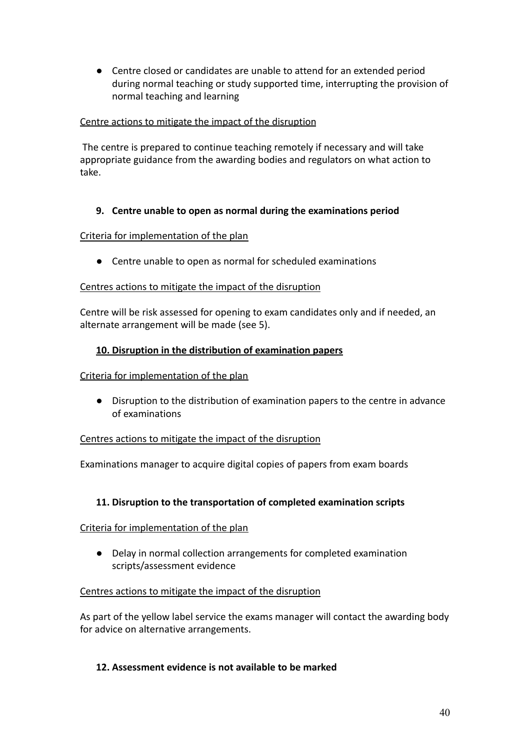● Centre closed or candidates are unable to attend for an extended period during normal teaching or study supported time, interrupting the provision of normal teaching and learning

## Centre actions to mitigate the impact of the disruption

The centre is prepared to continue teaching remotely if necessary and will take appropriate guidance from the awarding bodies and regulators on what action to take.

## **9. Centre unable to open as normal during the examinations period**

## Criteria for implementation of the plan

● Centre unable to open as normal for scheduled examinations

## Centres actions to mitigate the impact of the disruption

Centre will be risk assessed for opening to exam candidates only and if needed, an alternate arrangement will be made (see 5).

### **10. Disruption in the distribution of examination papers**

#### Criteria for implementation of the plan

● Disruption to the distribution of examination papers to the centre in advance of examinations

#### Centres actions to mitigate the impact of the disruption

Examinations manager to acquire digital copies of papers from exam boards

## **11. Disruption to the transportation of completed examination scripts**

#### Criteria for implementation of the plan

● Delay in normal collection arrangements for completed examination scripts/assessment evidence

#### Centres actions to mitigate the impact of the disruption

As part of the yellow label service the exams manager will contact the awarding body for advice on alternative arrangements.

#### **12. Assessment evidence is not available to be marked**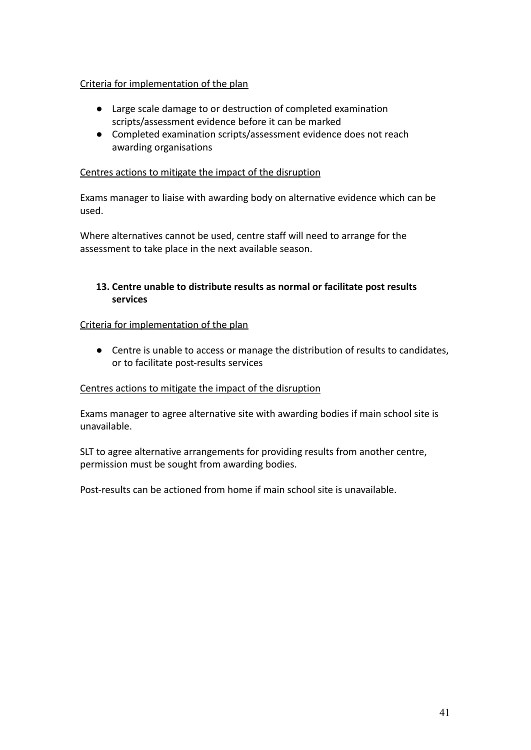## Criteria for implementation of the plan

- Large scale damage to or destruction of completed examination scripts/assessment evidence before it can be marked
- Completed examination scripts/assessment evidence does not reach awarding organisations

## Centres actions to mitigate the impact of the disruption

Exams manager to liaise with awarding body on alternative evidence which can be used.

Where alternatives cannot be used, centre staff will need to arrange for the assessment to take place in the next available season.

## **13. Centre unable to distribute results as normal or facilitate post results services**

### Criteria for implementation of the plan

● Centre is unable to access or manage the distribution of results to candidates, or to facilitate post-results services

#### Centres actions to mitigate the impact of the disruption

Exams manager to agree alternative site with awarding bodies if main school site is unavailable.

SLT to agree alternative arrangements for providing results from another centre, permission must be sought from awarding bodies.

Post-results can be actioned from home if main school site is unavailable.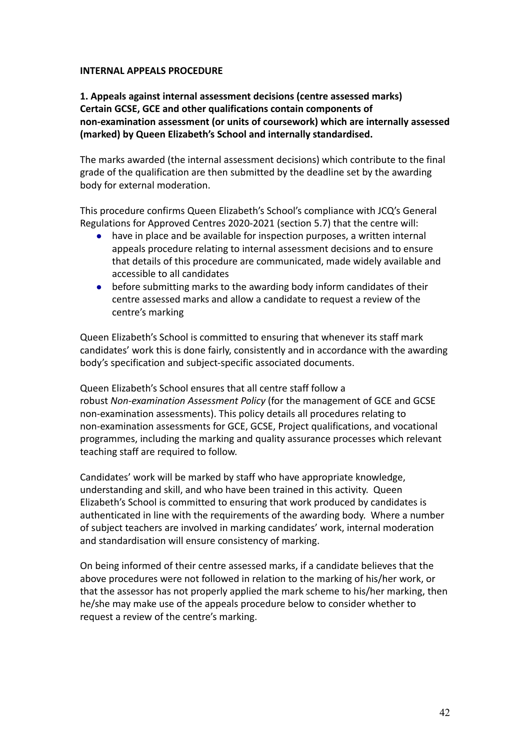#### **INTERNAL APPEALS PROCEDURE**

## **1. Appeals against internal assessment decisions (centre assessed marks) Certain GCSE, GCE and other qualifications contain components of non-examination assessment (or units of coursework) which are internally assessed (marked) by Queen Elizabeth's School and internally standardised.**

The marks awarded (the internal assessment decisions) which contribute to the final grade of the qualification are then submitted by the deadline set by the awarding body for external moderation.

This procedure confirms Queen Elizabeth's School's compliance with JCQ's General Regulations for Approved Centres 2020-2021 (section 5.7) that the centre will:

- have in place and be available for inspection purposes, a written internal appeals procedure relating to internal assessment decisions and to ensure that details of this procedure are communicated, made widely available and accessible to all candidates
- before submitting marks to the awarding body inform candidates of their centre assessed marks and allow a candidate to request a review of the centre's marking

Queen Elizabeth's School is committed to ensuring that whenever its staff mark candidates' work this is done fairly, consistently and in accordance with the awarding body's specification and subject-specific associated documents.

Queen Elizabeth's School ensures that all centre staff follow a robust *Non-examination Assessment Policy* (for the management of GCE and GCSE non-examination assessments). This policy details all procedures relating to non-examination assessments for GCE, GCSE, Project qualifications, and vocational programmes, including the marking and quality assurance processes which relevant teaching staff are required to follow.

Candidates' work will be marked by staff who have appropriate knowledge, understanding and skill, and who have been trained in this activity. Queen Elizabeth's School is committed to ensuring that work produced by candidates is authenticated in line with the requirements of the awarding body. Where a number of subject teachers are involved in marking candidates' work, internal moderation and standardisation will ensure consistency of marking.

On being informed of their centre assessed marks, if a candidate believes that the above procedures were not followed in relation to the marking of his/her work, or that the assessor has not properly applied the mark scheme to his/her marking, then he/she may make use of the appeals procedure below to consider whether to request a review of the centre's marking.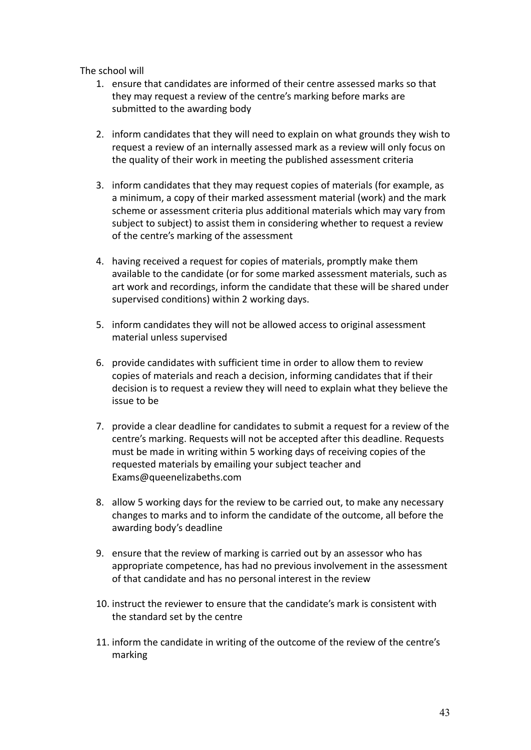The school will

- 1. ensure that candidates are informed of their centre assessed marks so that they may request a review of the centre's marking before marks are submitted to the awarding body
- 2. inform candidates that they will need to explain on what grounds they wish to request a review of an internally assessed mark as a review will only focus on the quality of their work in meeting the published assessment criteria
- 3. inform candidates that they may request copies of materials (for example, as a minimum, a copy of their marked assessment material (work) and the mark scheme or assessment criteria plus additional materials which may vary from subject to subject) to assist them in considering whether to request a review of the centre's marking of the assessment
- 4. having received a request for copies of materials, promptly make them available to the candidate (or for some marked assessment materials, such as art work and recordings, inform the candidate that these will be shared under supervised conditions) within 2 working days.
- 5. inform candidates they will not be allowed access to original assessment material unless supervised
- 6. provide candidates with sufficient time in order to allow them to review copies of materials and reach a decision, informing candidates that if their decision is to request a review they will need to explain what they believe the issue to be
- 7. provide a clear deadline for candidates to submit a request for a review of the centre's marking. Requests will not be accepted after this deadline. Requests must be made in writing within 5 working days of receiving copies of the requested materials by emailing your subject teacher and Exams@queenelizabeths.com
- 8. allow 5 working days for the review to be carried out, to make any necessary changes to marks and to inform the candidate of the outcome, all before the awarding body's deadline
- 9. ensure that the review of marking is carried out by an assessor who has appropriate competence, has had no previous involvement in the assessment of that candidate and has no personal interest in the review
- 10. instruct the reviewer to ensure that the candidate's mark is consistent with the standard set by the centre
- 11. inform the candidate in writing of the outcome of the review of the centre's marking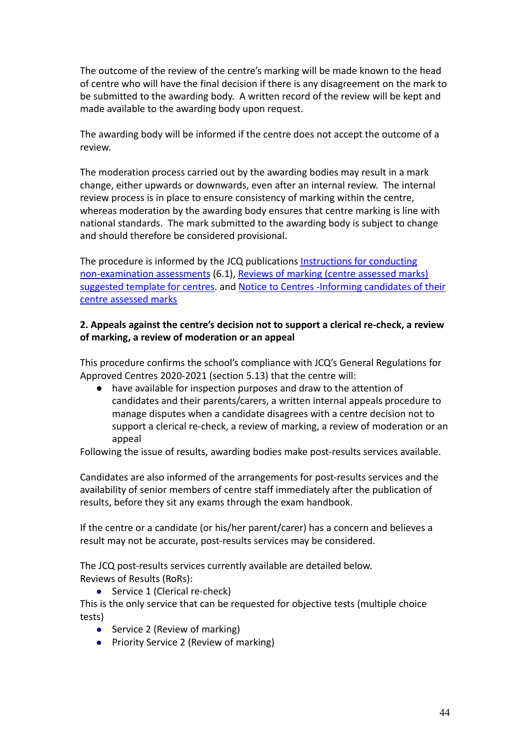The outcome of the review of the centre's marking will be made known to the head of centre who will have the final decision if there is any disagreement on the mark to be submitted to the awarding body. A written record of the review will be kept and made available to the awarding body upon request.

The awarding body will be informed if the centre does not accept the outcome of a review.

The moderation process carried out by the awarding bodies may result in a mark change, either upwards or downwards, even after an internal review. The internal review process is in place to ensure consistency of marking within the centre, whereas moderation by the awarding body ensures that centre marking is line with national standards. The mark submitted to the awarding body is subject to change and should therefore be considered provisional.

The procedure is informed by the JCQ publications [Instructions for conducting](https://www.jcq.org.uk/exams-office/non-examination-assessments) [non-examination assessments](https://www.jcq.org.uk/exams-office/non-examination-assessments) (6.1), Reviews of marking [\(centre assessed marks\)](https://www.jcq.org.uk/exams-office/non-examination-assessments) [suggested template for centres.](https://www.jcq.org.uk/exams-office/non-examination-assessments) and Notice to Centres [-Informing candidates of their](https://www.jcq.org.uk/exams-office/non-examination-assessments) [centre assessed marks](https://www.jcq.org.uk/exams-office/non-examination-assessments)

## **2. Appeals against the centre's decision not to support a clerical re-check, a review of marking, a review of moderation or an appeal**

This procedure confirms the school's compliance with JCQ's General Regulations for Approved Centres 2020-2021 (section 5.13) that the centre will:

● have available for inspection purposes and draw to the attention of candidates and their parents/carers, a written internal appeals procedure to manage disputes when a candidate disagrees with a centre decision not to support a clerical re-check, a review of marking, a review of moderation or an appeal

Following the issue of results, awarding bodies make post-results services available.

Candidates are also informed of the arrangements for post-results services and the availability of senior members of centre staff immediately after the publication of results, before they sit any exams through the exam handbook.

If the centre or a candidate (or his/her parent/carer) has a concern and believes a result may not be accurate, post-results services may be considered.

The JCQ post-results services currently available are detailed below. Reviews of Results (RoRs):

● Service 1 (Clerical re-check)

This is the only service that can be requested for objective tests (multiple choice tests)

- Service 2 (Review of marking)
- Priority Service 2 (Review of marking)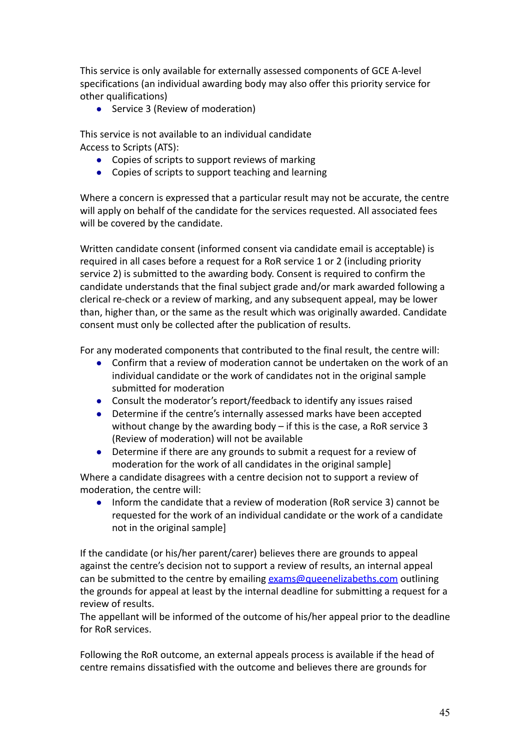This service is only available for externally assessed components of GCE A-level specifications (an individual awarding body may also offer this priority service for other qualifications)

● Service 3 (Review of moderation)

This service is not available to an individual candidate Access to Scripts (ATS):

- Copies of scripts to support reviews of marking
- Copies of scripts to support teaching and learning

Where a concern is expressed that a particular result may not be accurate, the centre will apply on behalf of the candidate for the services requested. All associated fees will be covered by the candidate.

Written candidate consent (informed consent via candidate email is acceptable) is required in all cases before a request for a RoR service 1 or 2 (including priority service 2) is submitted to the awarding body. Consent is required to confirm the candidate understands that the final subject grade and/or mark awarded following a clerical re-check or a review of marking, and any subsequent appeal, may be lower than, higher than, or the same as the result which was originally awarded. Candidate consent must only be collected after the publication of results.

For any moderated components that contributed to the final result, the centre will:

- Confirm that a review of moderation cannot be undertaken on the work of an individual candidate or the work of candidates not in the original sample submitted for moderation
- Consult the moderator's report/feedback to identify any issues raised
- Determine if the centre's internally assessed marks have been accepted without change by the awarding body – if this is the case, a RoR service 3 (Review of moderation) will not be available
- Determine if there are any grounds to submit a request for a review of moderation for the work of all candidates in the original sample]

Where a candidate disagrees with a centre decision not to support a review of moderation, the centre will:

● Inform the candidate that a review of moderation (RoR service 3) cannot be requested for the work of an individual candidate or the work of a candidate not in the original sample]

If the candidate (or his/her parent/carer) believes there are grounds to appeal against the centre's decision not to support a review of results, an internal appeal can be submitted to the centre by emailing [exams@queenelizabeths.com](mailto:exams@queenelizabeths.com) outlining the grounds for appeal at least by the internal deadline for submitting a request for a review of results.

The appellant will be informed of the outcome of his/her appeal prior to the deadline for RoR services.

Following the RoR outcome, an external appeals process is available if the head of centre remains dissatisfied with the outcome and believes there are grounds for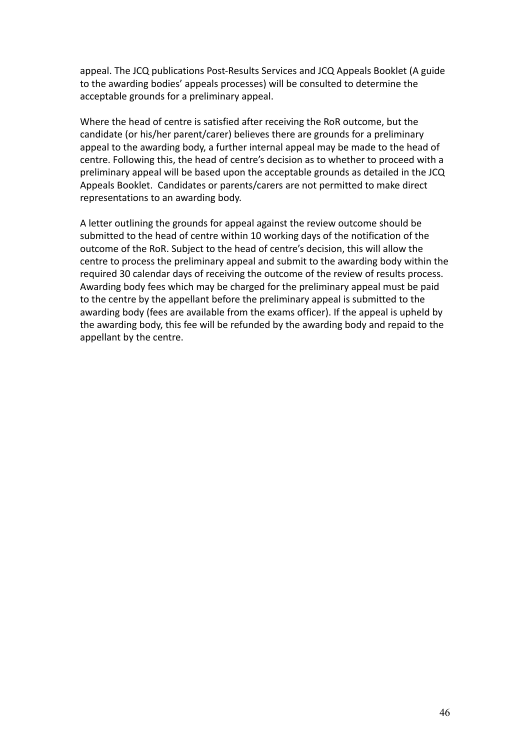appeal. The JCQ publications Post-Results Services and JCQ Appeals Booklet (A guide to the awarding bodies' appeals processes) will be consulted to determine the acceptable grounds for a preliminary appeal.

Where the head of centre is satisfied after receiving the RoR outcome, but the candidate (or his/her parent/carer) believes there are grounds for a preliminary appeal to the awarding body, a further internal appeal may be made to the head of centre. Following this, the head of centre's decision as to whether to proceed with a preliminary appeal will be based upon the acceptable grounds as detailed in the JCQ Appeals Booklet. Candidates or parents/carers are not permitted to make direct representations to an awarding body.

A letter outlining the grounds for appeal against the review outcome should be submitted to the head of centre within 10 working days of the notification of the outcome of the RoR. Subject to the head of centre's decision, this will allow the centre to process the preliminary appeal and submit to the awarding body within the required 30 calendar days of receiving the outcome of the review of results process. Awarding body fees which may be charged for the preliminary appeal must be paid to the centre by the appellant before the preliminary appeal is submitted to the awarding body (fees are available from the exams officer). If the appeal is upheld by the awarding body, this fee will be refunded by the awarding body and repaid to the appellant by the centre.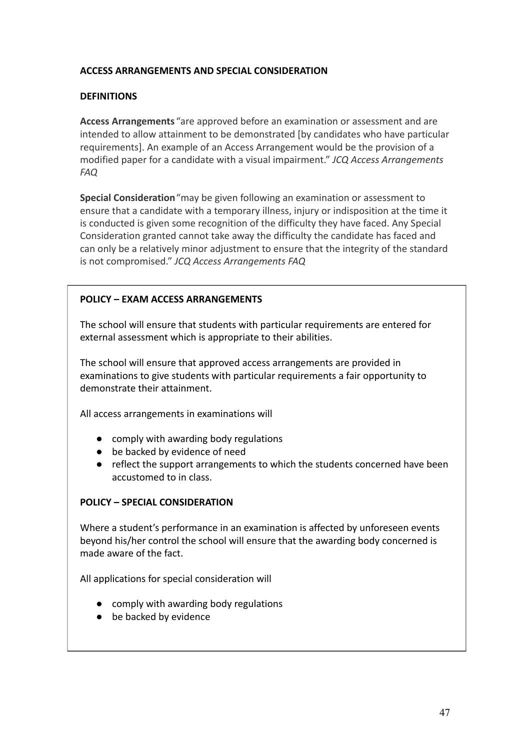## **ACCESS ARRANGEMENTS AND SPECIAL CONSIDERATION**

## **DEFINITIONS**

**Access Arrangements** "are approved before an examination or assessment and are intended to allow attainment to be demonstrated [by candidates who have particular requirements]. An example of an Access Arrangement would be the provision of a modified paper for a candidate with a visual impairment." *JCQ Access Arrangements FAQ*

**Special Consideration**"may be given following an examination or assessment to ensure that a candidate with a temporary illness, injury or indisposition at the time it is conducted is given some recognition of the difficulty they have faced. Any Special Consideration granted cannot take away the difficulty the candidate has faced and can only be a relatively minor adjustment to ensure that the integrity of the standard is not compromised." *JCQ Access Arrangements FAQ*

## **POLICY – EXAM ACCESS ARRANGEMENTS**

The school will ensure that students with particular requirements are entered for external assessment which is appropriate to their abilities.

The school will ensure that approved access arrangements are provided in examinations to give students with particular requirements a fair opportunity to demonstrate their attainment.

All access arrangements in examinations will

- comply with awarding body regulations
- be backed by evidence of need
- reflect the support arrangements to which the students concerned have been accustomed to in class.

## **POLICY – SPECIAL CONSIDERATION**

Where a student's performance in an examination is affected by unforeseen events beyond his/her control the school will ensure that the awarding body concerned is made aware of the fact.

All applications for special consideration will

- comply with awarding body regulations
- be backed by evidence